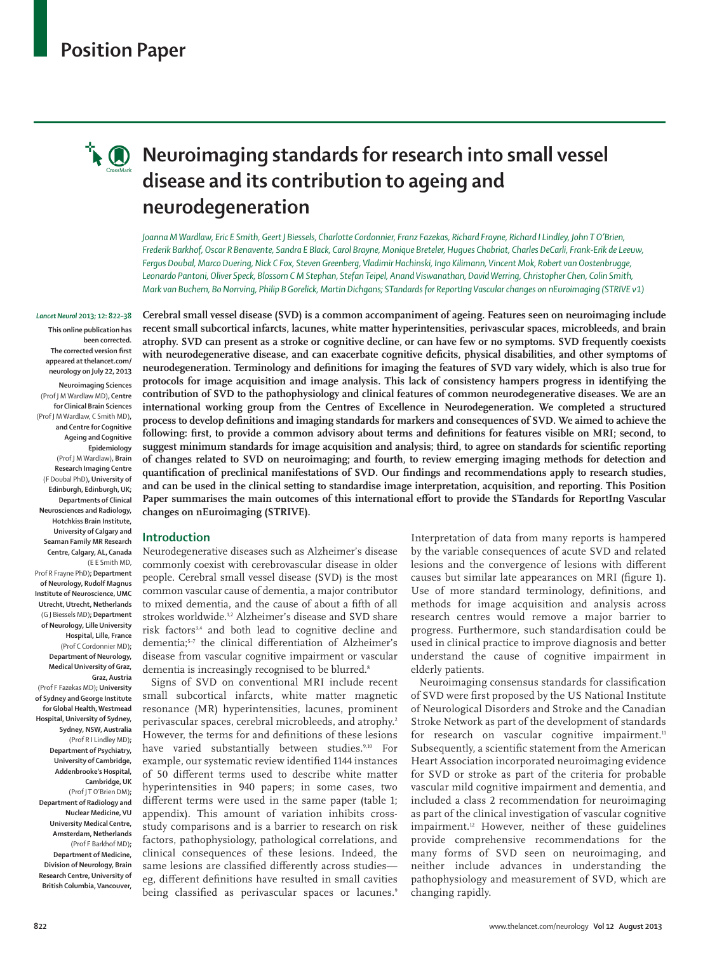# **Position Paper**



# **Neuroimaging standards for research into small vessel disease and its contribution to ageing and neurodegeneration**

*Joanna M Wardlaw, Eric E Smith, Geert J Biessels, Charlotte Cordonnier, Franz Fazekas, Richard Frayne, Richard I Lindley, John T O'Brien, Frederik Barkhof, Oscar R Benavente, Sandra E Black, Carol Brayne, Monique Breteler, Hugues Chabriat, Charles DeCarli, Frank-Erik de Leeuw, Fergus Doubal, Marco Duering, Nick C Fox, Steven Greenberg, Vladimir Hachinski, Ingo Kilimann, Vincent Mok, Robert van Oostenbrugge, Leonardo Pantoni, Oliver Speck, Blossom C M Stephan, Stefan Teipel, Anand Viswanathan, David Werring, Christopher Chen, Colin Smith, Mark van Buchem, Bo Norrving, Philip B Gorelick, Martin Dichgans; STandards for ReportIng Vascular changes on nEuroimaging (STRIVE v1)*

#### *Lancet Neurol* **2013; 12: 822–38**

**This online publication has been corrected. The corrected version first appeared at thelancet.com/ neurology on July 22, 2013**

**Neuroimaging Sciences**  (Prof J M Wardlaw MD)**, Centre for Clinical Brain Sciences**  (Prof J M Wardlaw, C Smith MD)**, and Centre for Cognitive Ageing and Cognitive Epidemiology**  (Prof J M Wardlaw)**, Brain Research Imaging Centre** (F Doubal PhD)**, University of Edinburgh, Edinburgh, UK; Departments of Clinical Neurosciences and Radiology, Hotchkiss Brain Institute, University of Calgary and Seaman Family MR Research Centre, Calgary, AL, Canada** (E E Smith MD,

Prof R Frayne PhD)**; Department of Neurology, Rudolf Magnus Institute of Neuroscience, UMC Utrecht, Utrecht, Netherlands** (G J Biessels MD)**; Department of Neurology, Lille University Hospital, Lille, France**  (Prof C Cordonnier MD)**; Department of Neurology, Medical University of Graz, Graz, Austria** (Prof F Fazekas MD)**; University of Sydney and George Institute for Global Health, Westmead Hospital, University of Sydney, Sydney, NSW, Australia** (Prof R I Lindley MD)**; Department of Psychiatry, University of Cambridge, Addenbrooke's Hospital, Cambridge, UK**  (Prof IT O'Brien DM);

**Department of Radiology and Nuclear Medicine, VU University Medical Centre, Amsterdam, Netherlands** (Prof F Barkhof MD)**; Department of Medicine, Division of Neurology, Brain Research Centre, University of British Columbia, Vancouver,** **Cerebral small vessel disease (SVD) is a common accompaniment of ageing. Features seen on neuroimaging include recent small subcortical infarcts, lacunes, white matter hyperintensities, perivascular spaces, microbleeds, and brain atrophy. SVD can present as a stroke or cognitive decline, or can have few or no symptoms. SVD frequently coexists with neurodegenerative disease, and can exacerbate cognitive deficits, physical disabilities, and other symptoms of**  neurodegeneration. Terminology and definitions for imaging the features of SVD vary widely, which is also true for **protocols for image acquisition and image analysis. This lack of consistency hampers progress in identifying the contribution of SVD to the pathophysiology and clinical features of common neurodegenerative diseases. We are an international working group from the Centres of Excellence in Neurodegeneration. We completed a structured**  process to develop definitions and imaging standards for markers and consequences of SVD. We aimed to achieve the following: first, to provide a common advisory about terms and definitions for features visible on MRI; second, to suggest minimum standards for image acquisition and analysis; third, to agree on standards for scientific reporting **of changes related to SVD on neuroimaging; and fourth, to review emerging imaging methods for detection and**  quantification of preclinical manifestations of SVD. Our findings and recommendations apply to research studies, **and can be used in the clinical setting to standardise image interpretation, acquisition, and reporting. This Position**  Paper summarises the main outcomes of this international effort to provide the STandards for ReportIng Vascular **changes on nEuroimaging (STRIVE).** 

## **Introduction**

Neurodegenerative diseases such as Alzheimer's disease commonly coexist with cerebrovascular disease in older people. Cerebral small vessel disease (SVD) is the most common vascular cause of dementia, a major contributor to mixed dementia, and the cause of about a fifth of all strokes worldwide.1,2 Alzheimer's disease and SVD share risk factors3,4 and both lead to cognitive decline and dementia;<sup>5-7</sup> the clinical differentiation of Alzheimer's disease from vascular cognitive impairment or vascular dementia is increasingly recognised to be blurred.<sup>8</sup>

Signs of SVD on conventional MRI include recent small subcortical infarcts, white matter magnetic resonance (MR) hyperintensities, lacunes, prominent perivascular spaces, cerebral microbleeds, and atrophy.2 However, the terms for and definitions of these lesions have varied substantially between studies.<sup>9,10</sup> For example, our systematic review identified 1144 instances of 50 different terms used to describe white matter hyperintensities in 940 papers; in some cases, two different terms were used in the same paper (table 1; appendix). This amount of variation inhibits crossstudy comparisons and is a barrier to research on risk factors, pathophysiology, pathological correlations, and clinical consequences of these lesions. Indeed, the same lesions are classified differently across studieseg, different definitions have resulted in small cavities being classified as perivascular spaces or lacunes.<sup>9</sup>

Interpretation of data from many reports is hampered by the variable consequences of acute SVD and related lesions and the convergence of lesions with different causes but similar late appearances on MRI (figure 1). Use of more standard terminology, definitions, and methods for image acquisition and analysis across research centres would remove a major barrier to progress. Furthermore, such standardisation could be used in clinical practice to improve diagnosis and better understand the cause of cognitive impairment in elderly patients.

Neuroimaging consensus standards for classification of SVD were first proposed by the US National Institute of Neurological Disorders and Stroke and the Canadian Stroke Network as part of the development of standards for research on vascular cognitive impairment.<sup>11</sup> Subsequently, a scientific statement from the American Heart Association incorporated neuroimaging evidence for SVD or stroke as part of the criteria for probable vascular mild cognitive impairment and dementia, and included a class 2 recommendation for neuroimaging as part of the clinical investigation of vascular cognitive impairment.<sup>12</sup> However, neither of these guidelines provide comprehensive recommendations for the many forms of SVD seen on neuroimaging, and neither include advances in understanding the pathophysiology and measurement of SVD, which are changing rapidly.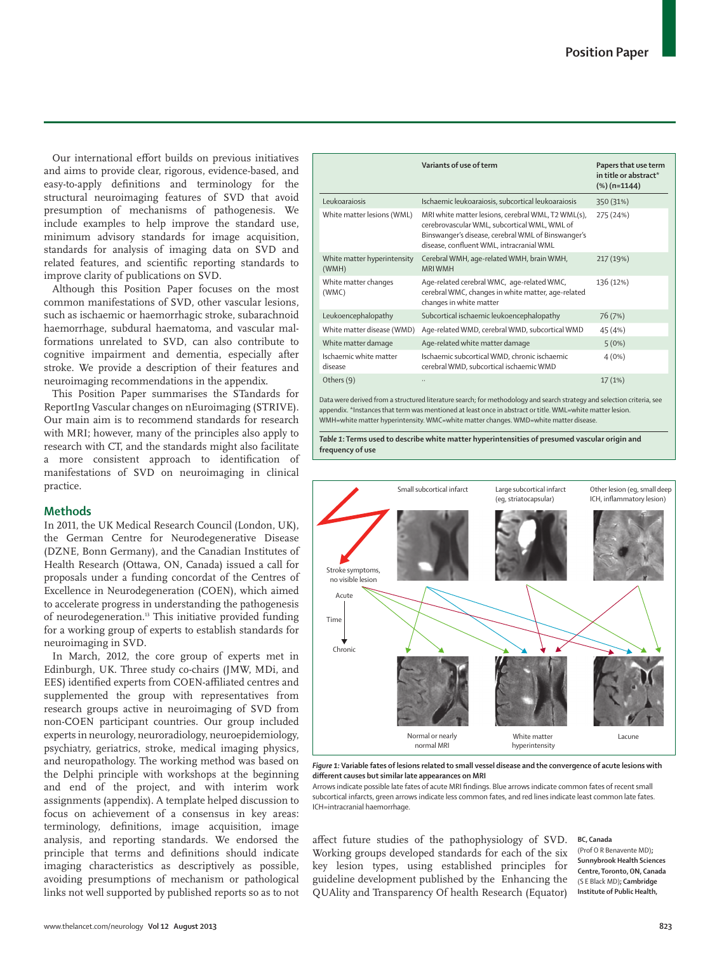Our international effort builds on previous initiatives and aims to provide clear, rigorous, evidence-based, and easy-to-apply definitions and terminology for the structural neuroimaging features of SVD that avoid presumption of mechanisms of pathogenesis. We include examples to help improve the standard use, minimum advisory standards for image acquisition, standards for analysis of imaging data on SVD and related features, and scientific reporting standards to improve clarity of publications on SVD.

Although this Position Paper focuses on the most common manifestations of SVD, other vascular lesions, such as ischaemic or haemorrhagic stroke, subarachnoid haemorrhage, subdural haematoma, and vascular malformations unrelated to SVD, can also contribute to cognitive impairment and dementia, especially after stroke. We provide a description of their features and neuroimaging recommendations in the appendix.

This Position Paper summarises the STandards for ReportIng Vascular changes on nEuroimaging (STRIVE). Our main aim is to recommend standards for research with MRI; however, many of the principles also apply to research with CT, and the standards might also facilitate a more consistent approach to identification of manifestations of SVD on neuroimaging in clinical practice.

## **Methods**

In 2011, the UK Medical Research Council (London, UK), the German Centre for Neurodegenerative Disease (DZNE, Bonn Germany), and the Canadian Institutes of Health Research (Ottawa, ON, Canada) issued a call for proposals under a funding concordat of the Centres of Excellence in Neurodegeneration (COEN), which aimed to accelerate progress in understanding the pathogenesis of neurodegeneration.13 This initiative provided funding for a working group of experts to establish standards for neuroimaging in SVD.

In March, 2012, the core group of experts met in Edinburgh, UK. Three study co-chairs (JMW, MDi, and EES) identified experts from COEN-affiliated centres and supplemented the group with representatives from research groups active in neuroimaging of SVD from non-COEN participant countries. Our group included experts in neurology, neuroradiology, neuroepidemiology, psychiatry, geriatrics, stroke, medical imaging physics, and neuropathology. The working method was based on the Delphi principle with workshops at the beginning and end of the project, and with interim work assignments (appendix). A template helped discussion to focus on achievement of a consensus in key areas: terminology, definitions, image acquisition, image analysis, and reporting standards. We endorsed the principle that terms and definitions should indicate imaging characteristics as descriptively as possible, avoiding presumptions of mechanism or pathological links not well supported by published reports so as to not

|                                                                                                                                                                                                                                     | Variants of use of term                                                                                                                                                                              | Papers that use term<br>in title or abstract*<br>$(% )$ (%) (n=1144) |  |  |  |
|-------------------------------------------------------------------------------------------------------------------------------------------------------------------------------------------------------------------------------------|------------------------------------------------------------------------------------------------------------------------------------------------------------------------------------------------------|----------------------------------------------------------------------|--|--|--|
| Leukoarajosis                                                                                                                                                                                                                       | Ischaemic leukoaraiosis, subcortical leukoaraiosis                                                                                                                                                   | 350 (31%)                                                            |  |  |  |
| White matter lesions (WML)                                                                                                                                                                                                          | MRI white matter lesions, cerebral WML, T2 WML(s),<br>cerebrovascular WML, subcortical WML, WML of<br>Binswanger's disease, cerebral WML of Binswanger's<br>disease, confluent WML, intracranial WML | 275 (24%)                                                            |  |  |  |
| White matter hyperintensity<br>(WMH)                                                                                                                                                                                                | Cerebral WMH, age-related WMH, brain WMH,<br><b>MRIWMH</b>                                                                                                                                           | 217 (19%)                                                            |  |  |  |
| White matter changes<br>(WMC)                                                                                                                                                                                                       | Age-related cerebral WMC, age-related WMC,<br>cerebral WMC, changes in white matter, age-related<br>changes in white matter                                                                          | 136 (12%)                                                            |  |  |  |
| Leukoencephalopathy                                                                                                                                                                                                                 | Subcortical ischaemic leukoencephalopathy                                                                                                                                                            | 76 (7%)                                                              |  |  |  |
| White matter disease (WMD)                                                                                                                                                                                                          | Age-related WMD, cerebral WMD, subcortical WMD                                                                                                                                                       | 45 (4%)                                                              |  |  |  |
| White matter damage                                                                                                                                                                                                                 | Age-related white matter damage                                                                                                                                                                      | 5(0%)                                                                |  |  |  |
| Ischaemic white matter<br>disease                                                                                                                                                                                                   | Ischaemic subcortical WMD, chronic ischaemic<br>cerebral WMD, subcortical ischaemic WMD                                                                                                              | 4(0%)                                                                |  |  |  |
| Others (9)                                                                                                                                                                                                                          |                                                                                                                                                                                                      | 17(1%)                                                               |  |  |  |
| Data were derived from a structured literature search; for methodology and search strategy and selection criteria, see<br>appendix. *Instances that term was mentioned at least once in abstract or title. WML=white matter lesion. |                                                                                                                                                                                                      |                                                                      |  |  |  |

WMH=white matter hyperintensity. WMC=white matter changes. WMD=white matter disease.

*Table 1***: Terms used to describe white matter hyperintensities of presumed vascular origin and frequency of use**



*Figure 1:* **Variable fates of lesions related to small vessel disease and the convergence of acute lesions with diff erent causes but similar late appearances on MRI**

Arrows indicate possible late fates of acute MRI findings. Blue arrows indicate common fates of recent small subcortical infarcts, green arrows indicate less common fates, and red lines indicate least common late fates. ICH=intracranial haemorrhage.

affect future studies of the pathophysiology of SVD. Working groups developed standards for each of the six key lesion types, using established principles for guideline development published by the Enhancing the QUAlity and Transparency Of health Research (Equator)

## **BC, Canada**

(Prof O R Benavente MD)**; Sunnybrook Health Sciences Centre, Toronto, ON, Canada** (S E Black MD)**; Cambridge Institute of Public Health,**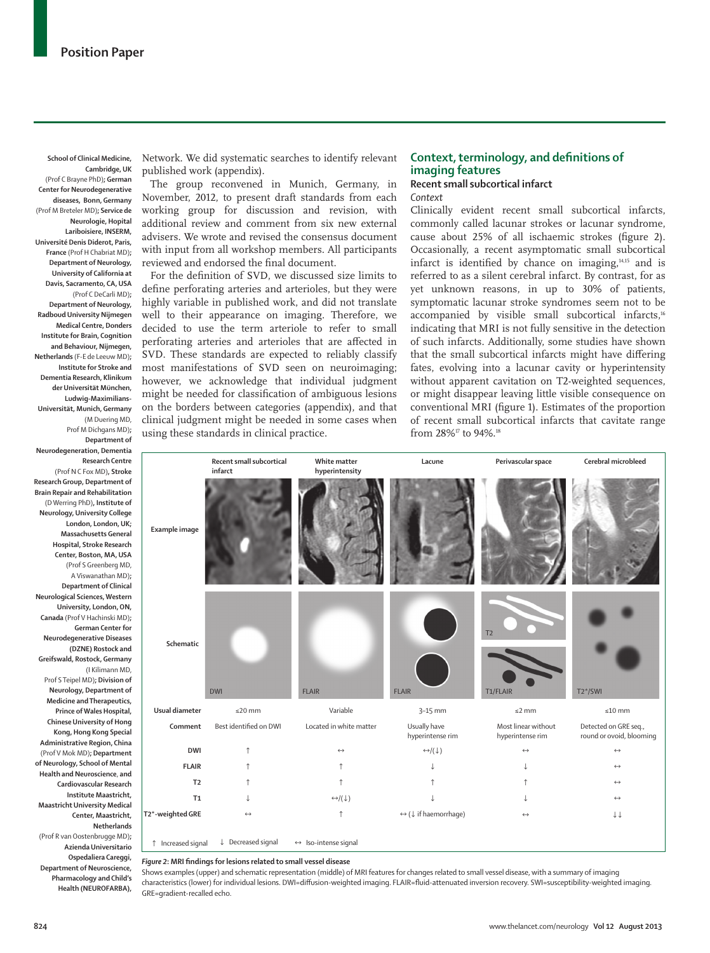**School of Clinical Medicine, Cambridge, UK** (Prof C Brayne PhD)**; German Center for Neurodegenerative diseases, Bonn, Germany**  (Prof M Breteler MD)**; Service de Neurologie, Hopital Lariboisiere, INSERM, Université Denis Diderot, Paris, France** (Prof H Chabriat MD)**; Department of Neurology, University of California at Davis, Sacramento, CA, USA** (Prof C DeCarli MD)**; Department of Neurology, Radboud University Nijmegen Medical Centre, Donders Institute for Brain, Cognition and Behaviour, Nijmegen, Netherlands** (F-E de Leeuw MD)**; Institute for Stroke and Dementia Research, Klinikum der Universität München, Ludwig-Maximilians-Universität, Munich, Germany** (M Duering MD, Prof M Dichgans MD)**; Department of Neurodegeneration, Dementia Research Centre** (Prof N C Fox MD)**, Stroke Research Group, Department of Brain Repair and Rehabilitation**  (D Werring PhD)**, Institute of Neurology, University College London, London, UK; Massachusetts General Hospital, Stroke Research Center, Boston, MA, USA**  (Prof S Greenberg MD, A Viswanathan MD)**; Department of Clinical Neurological Sciences, Western University, London, ON, Canada** (Prof V Hachinski MD)**; German Center for Neurodegenerative Diseases (DZNE) Rostock and Greifswald, Rostock, Germany**  (I Kilimann MD, Prof S Teipel MD)**; Division of Neurology, Department of Medicine and Therapeutics, Prince of Wales Hospital, Chinese University of Hong Kong, Hong Kong Special Administrative Region, China**  (Prof V Mok MD)**; Department of Neurology, School of Mental Health and Neuroscience**, **and Cardiovascular Research Institute Maastricht, Maastricht University Medical Center, Maastricht, Netherlands**  (Prof R van Oostenbrugge MD)**; Azienda Universitario Ospedaliera Careggi, Department of Neuroscience, Pharmacology and Child's** 

Network. We did systematic searches to identify relevant published work (appendix).

The group reconvened in Munich, Germany, in November, 2012, to present draft standards from each working group for discussion and revision, with additional review and comment from six new external advisers. We wrote and revised the consensus document with input from all workshop members. All participants reviewed and endorsed the final document.

For the definition of SVD, we discussed size limits to define perforating arteries and arterioles, but they were highly variable in published work, and did not translate well to their appearance on imaging. Therefore, we decided to use the term arteriole to refer to small perforating arteries and arterioles that are affected in SVD. These standards are expected to reliably classify most manifestations of SVD seen on neuroimaging; however, we acknowledge that individual judgment might be needed for classification of ambiguous lesions on the borders between categories (appendix), and that clinical judgment might be needed in some cases when using these standards in clinical practice.

## **Context, terminology, and definitions of imaging features Recent small subcortical infarct**

#### *Context*

Clinically evident recent small subcortical infarcts, commonly called lacunar strokes or lacunar syndrome, cause about 25% of all ischaemic strokes (figure 2). Occasionally, a recent asymptomatic small subcortical infarct is identified by chance on imaging,<sup>14,15</sup> and is referred to as a silent cerebral infarct. By contrast, for as yet unknown reasons, in up to 30% of patients, symptomatic lacunar stroke syndromes seem not to be accompanied by visible small subcortical infarcts.<sup>16</sup> indicating that MRI is not fully sensitive in the detection of such infarcts. Additionally, some studies have shown that the small subcortical infarcts might have differing fates, evolving into a lacunar cavity or hyperintensity without apparent cavitation on T2-weighted sequences, or might disappear leaving little visible consequence on conventional MRI (figure 1). Estimates of the proportion of recent small subcortical infarcts that cavitate range from 28%<sup>17</sup> to 94%.<sup>18</sup>



**Figure 2: MRI findings for lesions related to small vessel disease** 

Shows examples (upper) and schematic representation (middle) of MRI features for changes related to small vessel disease, with a summary of imaging characteristics (lower) for individual lesions. DWI=diffusion-weighted imaging. FLAIR=fluid-attenuated inversion recovery. SWI=susceptibility-weighted imaging GRE=gradient-recalled echo.

**Health (NEUROFARBA),**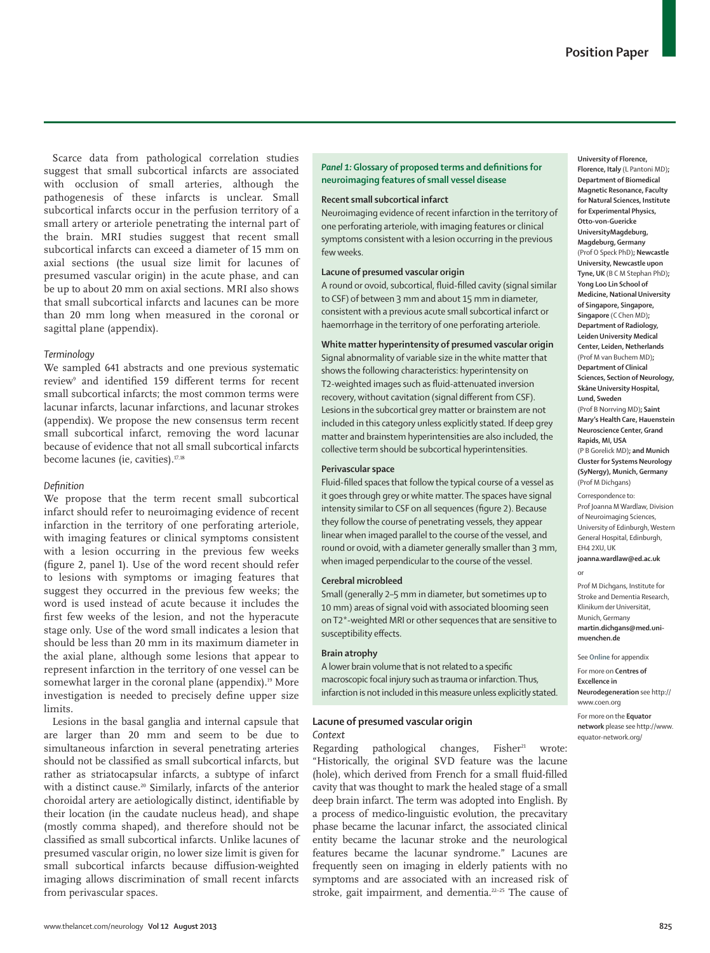Scarce data from pathological correlation studies suggest that small subcortical infarcts are associated with occlusion of small arteries, although the pathogenesis of these infarcts is unclear. Small subcortical infarcts occur in the perfusion territory of a small artery or arteriole penetrating the internal part of the brain. MRI studies suggest that recent small subcortical infarcts can exceed a diameter of 15 mm on axial sections (the usual size limit for lacunes of presumed vascular origin) in the acute phase, and can be up to about 20 mm on axial sections. MRI also shows that small subcortical infarcts and lacunes can be more than 20 mm long when measured in the coronal or sagittal plane (appendix).

## *Terminology*

We sampled 641 abstracts and one previous systematic review<sup>9</sup> and identified 159 different terms for recent small subcortical infarcts; the most common terms were lacunar infarcts, lacunar infarctions, and lacunar strokes (appendix). We propose the new consensus term recent small subcortical infarct, removing the word lacunar because of evidence that not all small subcortical infarcts become lacunes (ie, cavities).<sup>17,18</sup>

#### *Defi nition*

We propose that the term recent small subcortical infarct should refer to neuroimaging evidence of recent infarction in the territory of one perforating arteriole, with imaging features or clinical symptoms consistent with a lesion occurring in the previous few weeks (figure 2, panel 1). Use of the word recent should refer to lesions with symptoms or imaging features that suggest they occurred in the previous few weeks; the word is used instead of acute because it includes the first few weeks of the lesion, and not the hyperacute stage only. Use of the word small indicates a lesion that should be less than 20 mm in its maximum diameter in the axial plane, although some lesions that appear to represent infarction in the territory of one vessel can be somewhat larger in the coronal plane (appendix).<sup>19</sup> More investigation is needed to precisely define upper size limits.

Lesions in the basal ganglia and internal capsule that are larger than 20 mm and seem to be due to simultaneous infarction in several penetrating arteries should not be classified as small subcortical infarcts, but rather as striatocapsular infarcts, a subtype of infarct with a distinct cause.<sup>20</sup> Similarly, infarcts of the anterior choroidal artery are aetiologically distinct, identifiable by their location (in the caudate nucleus head), and shape (mostly comma shaped), and therefore should not be classifi ed as small subcortical infarcts. Unlike lacunes of presumed vascular origin, no lower size limit is given for small subcortical infarcts because diffusion-weighted imaging allows discrimination of small recent infarcts from perivascular spaces.

## **Panel 1:** Glossary of proposed terms and definitions for **neuroimaging features of small vessel disease**

#### **Recent small subcortical infarct**

Neuroimaging evidence of recent infarction in the territory of one perforating arteriole, with imaging features or clinical symptoms consistent with a lesion occurring in the previous few weeks.

## **Lacune of presumed vascular origin**

A round or ovoid, subcortical, fluid-filled cavity (signal similar to CSF) of between 3 mm and about 15 mm in diameter, consistent with a previous acute small subcortical infarct or haemorrhage in the territory of one perforating arteriole.

## **White matter hyperintensity of presumed vascular origin**

Signal abnormality of variable size in the white matter that shows the following characteristics: hyperintensity on T2-weighted images such as fluid-attenuated inversion recovery, without cavitation (signal different from CSF). Lesions in the subcortical grey matter or brainstem are not included in this category unless explicitly stated. If deep grey matter and brainstem hyperintensities are also included, the collective term should be subcortical hyperintensities.

#### **Perivascular space**

Fluid-filled spaces that follow the typical course of a vessel as it goes through grey or white matter. The spaces have signal intensity similar to CSF on all sequences (figure 2). Because they follow the course of penetrating vessels, they appear linear when imaged parallel to the course of the vessel, and round or ovoid, with a diameter generally smaller than 3 mm, when imaged perpendicular to the course of the vessel.

## **Cerebral microbleed**

Small (generally 2–5 mm in diameter, but sometimes up to 10 mm) areas of signal void with associated blooming seen on T2\*-weighted MRI or other sequences that are sensitive to susceptibility effects.

## **Brain atrophy**

A lower brain volume that is not related to a specific macroscopic focal injury such as trauma or infarction. Thus, infarction is not included in this measure unless explicitly stated.

#### **Lacune of presumed vascular origin** *Context*

Regarding pathological changes, Fisher<sup>21</sup> wrote: "Historically, the original SVD feature was the lacune (hole), which derived from French for a small fluid-filled cavity that was thought to mark the healed stage of a small deep brain infarct. The term was adopted into English. By a process of medico-linguistic evolution, the precavitary phase became the lacunar infarct, the associated clinical entity became the lacunar stroke and the neurological features became the lacunar syndrome." Lacunes are frequently seen on imaging in elderly patients with no symptoms and are associated with an increased risk of stroke, gait impairment, and dementia.<sup>22-25</sup> The cause of **University of Florence, Florence, Italy** (L Pantoni MD)**; Department of Biomedical Magnetic Resonance, Faculty for Natural Sciences, Institute for Experimental Physics, Otto-von-Guericke UniversityMagdeburg, Magdeburg, Germany** (Prof O Speck PhD)**; Newcastle University, Newcastle upon Tyne, UK** (B C M Stephan PhD)**; Yong Loo Lin School of Medicine, National University of Singapore, Singapore, Singapore** (C Chen MD)**; Department of Radiology, Leiden University Medical Center, Leiden, Netherlands** (Prof M van Buchem MD)**; Department of Clinical Sciences, Section of Neurology, Skåne University Hospital, Lund, Sweden** (Prof B Norrving MD)**; Saint Mary's Health Care, Hauenstein Neuroscience Center, Grand Rapids, MI, USA**  (P B Gorelick MD)**; and Munich Cluster for Systems Neurology (SyNergy), Munich, Germany**  (Prof M Dichgans)

Correspondence to: Prof Joanna M Wardlaw, Division of Neuroimaging Sciences, University of Edinburgh, Western General Hospital, Edinburgh, EH4 2XU, UK **joanna.wardlaw@ed.ac.uk**

## or

Prof M Dichgans, Institute for Stroke and Dementia Research, Klinikum der Universität, Munich, Germany **martin.dichgans@med.unimuenchen.de**

#### See **Online** for appendix

For more on **Centres of Excellence in Neurodegeneration** see http:// www.coen.org For more on the **Equator network** please see http://www. equator-network.org/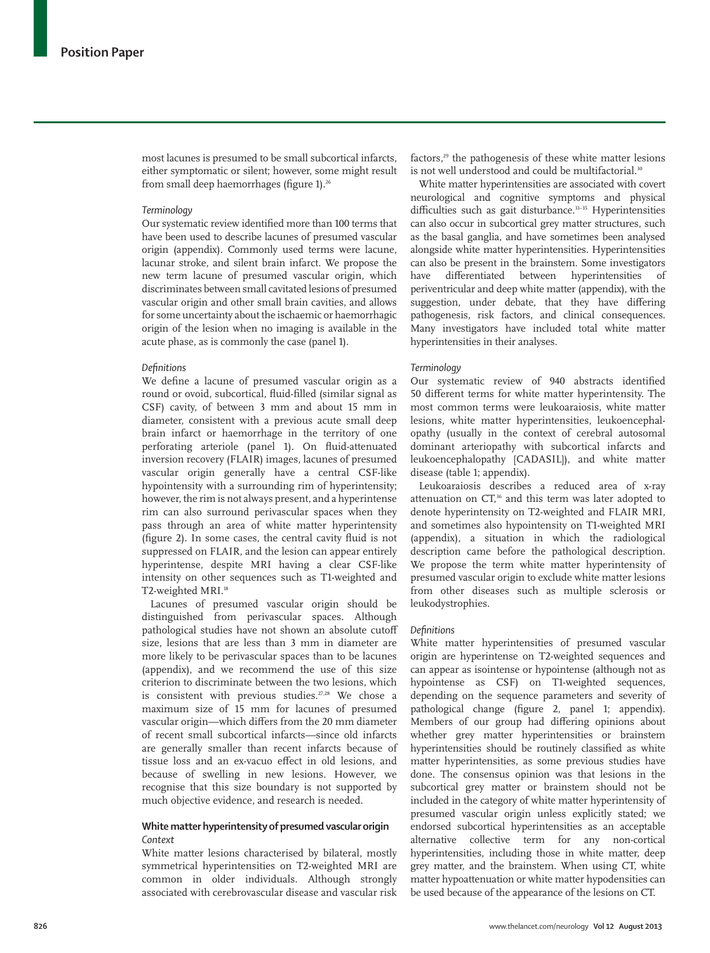most lacunes is presumed to be small subcortical infarcts, either symptomatic or silent; however, some might result from small deep haemorrhages (figure 1).<sup>26</sup>

## *Terminology*

Our systematic review identified more than 100 terms that have been used to describe lacunes of presumed vascular origin (appendix). Commonly used terms were lacune, lacunar stroke, and silent brain infarct. We propose the new term lacune of presumed vascular origin, which discriminates between small cavitated lesions of presumed vascular origin and other small brain cavities, and allows for some uncertainty about the ischaemic or haemorrhagic origin of the lesion when no imaging is available in the acute phase, as is commonly the case (panel 1).

## *Defi nitions*

We define a lacune of presumed vascular origin as a round or ovoid, subcortical, fluid-filled (similar signal as CSF) cavity, of between 3 mm and about 15 mm in diameter, consistent with a previous acute small deep brain infarct or haemorrhage in the territory of one perforating arteriole (panel 1). On fluid-attenuated inversion recovery (FLAIR) images, lacunes of presumed vascular origin generally have a central CSF-like hypointensity with a surrounding rim of hyperintensity; however, the rim is not always present, and a hyperintense rim can also surround perivascular spaces when they pass through an area of white matter hyperintensity (figure 2). In some cases, the central cavity fluid is not suppressed on FLAIR, and the lesion can appear entirely hyperintense, despite MRI having a clear CSF-like intensity on other sequences such as T1-weighted and T2-weighted MRI.<sup>18</sup>

Lacunes of presumed vascular origin should be distinguished from perivascular spaces. Although pathological studies have not shown an absolute cutoff size, lesions that are less than 3 mm in diameter are more likely to be perivascular spaces than to be lacunes (appendix), and we recommend the use of this size criterion to discriminate between the two lesions, which is consistent with previous studies.<sup>27,28</sup> We chose a maximum size of 15 mm for lacunes of presumed vascular origin—which differs from the 20 mm diameter of recent small subcortical infarcts—since old infarcts are generally smaller than recent infarcts because of tissue loss and an ex-vacuo effect in old lesions, and because of swelling in new lesions. However, we recognise that this size boundary is not supported by much objective evidence, and research is needed.

## **White matter hyperintensity of presumed vascular origin** *Context*

White matter lesions characterised by bilateral, mostly symmetrical hyperintensities on T2-weighted MRI are common in older individuals. Although strongly associated with cerebrovascular disease and vascular risk

factors, $29$  the pathogenesis of these white matter lesions is not well understood and could be multifactorial.<sup>30</sup>

White matter hyperintensities are associated with covert neurological and cognitive symptoms and physical difficulties such as gait disturbance.<sup>31-35</sup> Hyperintensities can also occur in subcortical grey matter structures, such as the basal ganglia, and have sometimes been analysed alongside white matter hyperintensities. Hyperintensities can also be present in the brainstem. Some investigators have differentiated between hyperintensities of periventricular and deep white matter (appendix), with the suggestion, under debate, that they have differing pathogenesis, risk factors, and clinical consequences. Many investigators have included total white matter hyperintensities in their analyses.

## *Terminology*

Our systematic review of 940 abstracts identified 50 different terms for white matter hyperintensity. The most common terms were leukoaraiosis, white matter lesions, white matter hyperintensities, leukoencephalopathy (usually in the context of cerebral autosomal dominant arteriopathy with subcortical infarcts and leukoencephalopathy [CADASIL]), and white matter disease (table 1; appendix).

Leukoaraiosis describes a reduced area of x-ray attenuation on CT,<sup>36</sup> and this term was later adopted to denote hyperintensity on T2-weighted and FLAIR MRI, and sometimes also hypointensity on T1-weighted MRI (appendix), a situation in which the radiological description came before the pathological description. We propose the term white matter hyperintensity of presumed vascular origin to exclude white matter lesions from other diseases such as multiple sclerosis or leukodystrophies.

#### *Defi nitions*

White matter hyperintensities of presumed vascular origin are hyperintense on T2-weighted sequences and can appear as isointense or hypointense (although not as hypointense as CSF) on T1-weighted sequences, depending on the sequence parameters and severity of pathological change (figure 2, panel 1; appendix). Members of our group had differing opinions about whether grey matter hyperintensities or brainstem hyperintensities should be routinely classified as white matter hyperintensities, as some previous studies have done. The consensus opinion was that lesions in the subcortical grey matter or brainstem should not be included in the category of white matter hyperintensity of presumed vascular origin unless explicitly stated; we endorsed subcortical hyperintensities as an acceptable alternative collective term for any non-cortical hyperintensities, including those in white matter, deep grey matter, and the brainstem. When using CT, white matter hypoattenuation or white matter hypodensities can be used because of the appearance of the lesions on CT.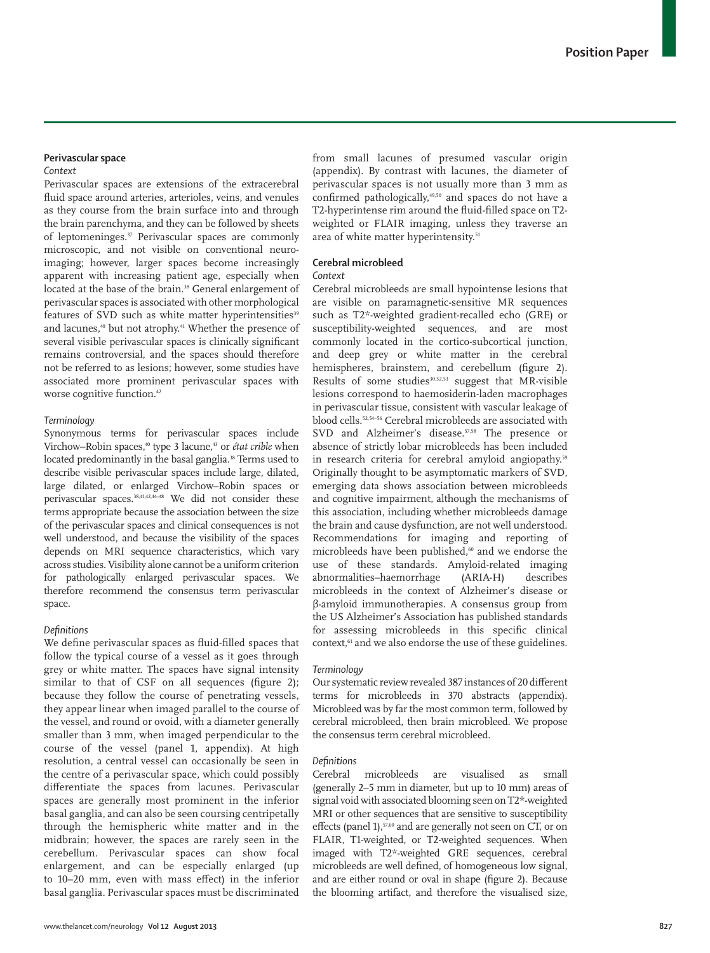#### **Perivascular space** *Context*

Perivascular spaces are extensions of the extracerebral fluid space around arteries, arterioles, veins, and venules as they course from the brain surface into and through the brain parenchyma, and they can be followed by sheets of leptomeninges.<sup>37</sup> Perivascular spaces are commonly microscopic, and not visible on conventional neuroimaging; however, larger spaces become increasingly apparent with increasing patient age, especially when located at the base of the brain.<sup>38</sup> General enlargement of perivascular spaces is associated with other morphological features of SVD such as white matter hyperintensities<sup>39</sup> and lacunes,<sup>40</sup> but not atrophy.<sup>41</sup> Whether the presence of several visible perivascular spaces is clinically significant remains controversial, and the spaces should therefore not be referred to as lesions; however, some studies have associated more prominent perivascular spaces with worse cognitive function.<sup>42</sup>

## *Terminology*

Synonymous terms for perivascular spaces include Virchow–Robin spaces,<sup>40</sup> type 3 lacune,<sup>43</sup> or *état crible* when located predominantly in the basal ganglia.<sup>38</sup> Terms used to describe visible perivascular spaces include large, dilated, large dilated, or enlarged Virchow–Robin spaces or perivascular spaces.38,41,42,44–48 We did not consider these terms appropriate because the association between the size of the perivascular spaces and clinical consequences is not well understood, and because the visibility of the spaces depends on MRI sequence characteristics, which vary across studies. Visibility alone cannot be a uniform criterion for pathologically enlarged perivascular spaces. We therefore recommend the consensus term perivascular space.

## *Defi nitions*

We define perivascular spaces as fluid-filled spaces that follow the typical course of a vessel as it goes through grey or white matter. The spaces have signal intensity similar to that of CSF on all sequences (figure 2); because they follow the course of penetrating vessels, they appear linear when imaged parallel to the course of the vessel, and round or ovoid, with a diameter generally smaller than 3 mm, when imaged perpendicular to the course of the vessel (panel 1, appendix). At high resolution, a central vessel can occasionally be seen in the centre of a perivascular space, which could possibly differentiate the spaces from lacunes. Perivascular spaces are generally most prominent in the inferior basal ganglia, and can also be seen coursing centripetally through the hemispheric white matter and in the midbrain; however, the spaces are rarely seen in the cerebellum. Perivascular spaces can show focal enlargement, and can be especially enlarged (up to 10–20 mm, even with mass effect) in the inferior basal ganglia. Perivascular spaces must be discriminated from small lacunes of presumed vascular origin (appendix). By contrast with lacunes, the diameter of perivascular spaces is not usually more than 3 mm as confirmed pathologically,<sup>49,50</sup> and spaces do not have a T2-hyperintense rim around the fluid-filled space on T2weighted or FLAIR imaging, unless they traverse an area of white matter hyperintensity.<sup>51</sup>

## **Cerebral microbleed**

*Context*

Cerebral microbleeds are small hypointense lesions that are visible on paramagnetic-sensitive MR sequences such as T2\*-weighted gradient-recalled echo (GRE) or susceptibility-weighted sequences, and are most commonly located in the cortico-subcortical junction, and deep grey or white matter in the cerebral hemispheres, brainstem, and cerebellum (figure 2). Results of some studies<sup>30,52,53</sup> suggest that MR-visible lesions correspond to haemosiderin-laden macrophages in perivascular tissue, consistent with vascular leakage of blood cells.52,54–56 Cerebral microbleeds are associated with SVD and Alzheimer's disease.<sup>57,58</sup> The presence or absence of strictly lobar microbleeds has been included in research criteria for cerebral amyloid angiopathy.<sup>59</sup> Originally thought to be asymptomatic markers of SVD, emerging data shows association between microbleeds and cognitive impairment, although the mechanisms of this association, including whether microbleeds damage the brain and cause dysfunction, are not well understood. Recommendations for imaging and reporting of microbleeds have been published,<sup>60</sup> and we endorse the use of these standards. Amyloid-related imaging abnormalities–haemorrhage (ARIA-H) describes microbleeds in the context of Alzheimer's disease or β-amyloid immunotherapies. A consensus group from the US Alzheimer's Association has published standards for assessing microbleeds in this specific clinical context,<sup>61</sup> and we also endorse the use of these guidelines.

#### *Terminology*

Our systematic review revealed 387 instances of 20 different terms for microbleeds in 370 abstracts (appendix). Microbleed was by far the most common term, followed by cerebral microbleed, then brain microbleed. We propose the consensus term cerebral microbleed.

#### *Defi nitions*

Cerebral microbleeds are visualised as small (generally 2–5 mm in diameter, but up to 10 mm) areas of signal void with associated blooming seen on T2\*-weighted MRI or other sequences that are sensitive to susceptibility effects (panel 1),  $57,60$  and are generally not seen on CT, or on FLAIR, T1-weighted, or T2-weighted sequences. When imaged with T2\*-weighted GRE sequences, cerebral microbleeds are well defined, of homogeneous low signal, and are either round or oval in shape (figure 2). Because the blooming artifact, and therefore the visualised size,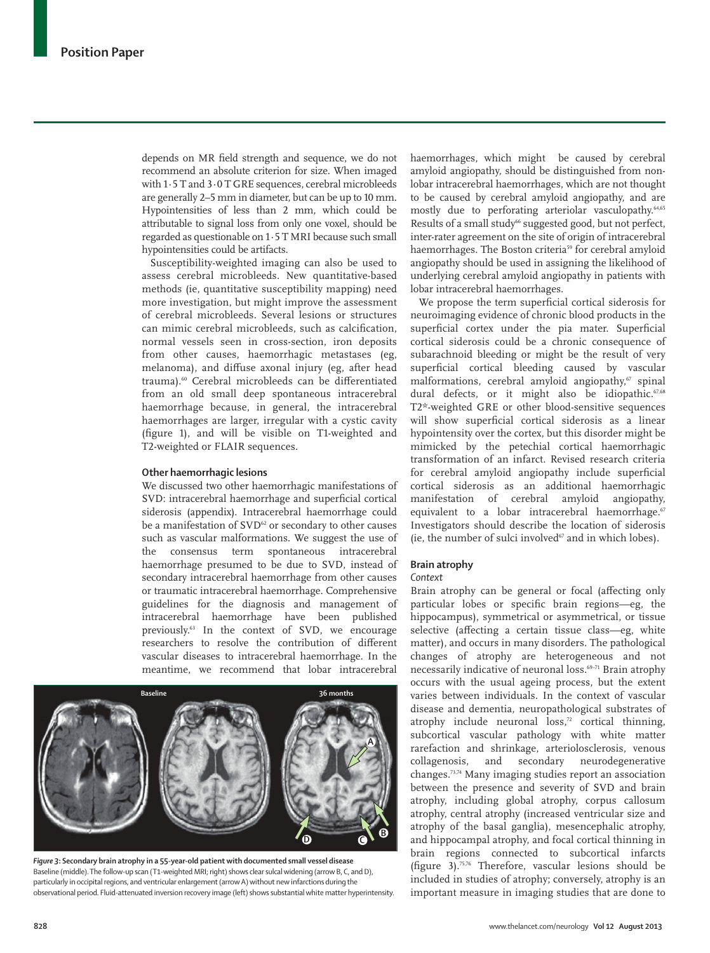depends on MR field strength and sequence, we do not recommend an absolute criterion for size. When imaged with 1·5 T and 3·0 T GRE sequences, cerebral microbleeds are generally 2–5 mm in diameter, but can be up to 10 mm. Hypointensities of less than 2 mm, which could be attributable to signal loss from only one voxel, should be regarded as questionable on 1·5 T MRI because such small hypointensities could be artifacts.

Susceptibility-weighted imaging can also be used to assess cerebral microbleeds. New quantitative-based methods (ie, quantitative susceptibility mapping) need more investigation, but might improve the assessment of cerebral microbleeds. Several lesions or structures can mimic cerebral microbleeds, such as calcification, normal vessels seen in cross-section, iron deposits from other causes, haemorrhagic metastases (eg, melanoma), and diffuse axonal injury (eg, after head trauma).<sup>60</sup> Cerebral microbleeds can be differentiated from an old small deep spontaneous intracerebral haemorrhage because, in general, the intracerebral haemorrhages are larger, irregular with a cystic cavity (figure 1), and will be visible on T1-weighted and T2-weighted or FLAIR sequences.

#### **Other haemorrhagic lesions**

We discussed two other haemorrhagic manifestations of SVD: intracerebral haemorrhage and superficial cortical siderosis (appendix). Intracerebral haemorrhage could be a manifestation of SVD<sup>62</sup> or secondary to other causes such as vascular malformations. We suggest the use of the consensus term spontaneous intracerebral haemorrhage presumed to be due to SVD, instead of secondary intracerebral haemorrhage from other causes or traumatic intracerebral haemorrhage. Comprehensive guidelines for the diagnosis and management of intracerebral haemorrhage have been published previously.63 In the context of SVD, we encourage researchers to resolve the contribution of different vascular diseases to intracerebral haemorrhage. In the meantime, we recommend that lobar intracerebral



*Figure 3***: Secondary brain atrophy in a 55-year-old patient with documented small vessel disease** Baseline (middle). The follow-up scan (T1-weighted MRI; right) shows clear sulcal widening (arrow B, C, and D), particularly in occipital regions, and ventricular enlargement (arrow A) without new infarctions during the observational period. Fluid-attenuated inversion recovery image (left) shows substantial white matter hyperintensity.

haemorrhages, which might be caused by cerebral amyloid angiopathy, should be distinguished from nonlobar intracerebral haemorrhages, which are not thought to be caused by cerebral amyloid angiopathy, and are mostly due to perforating arteriolar vasculopathy.64,65 Results of a small study<sup>66</sup> suggested good, but not perfect, inter-rater agreement on the site of origin of intracerebral haemorrhages. The Boston criteria<sup>59</sup> for cerebral amyloid angiopathy should be used in assigning the likelihood of underlying cerebral amyloid angiopathy in patients with lobar intracerebral haemorrhages.

We propose the term superficial cortical siderosis for neuroimaging evidence of chronic blood products in the superficial cortex under the pia mater. Superficial cortical siderosis could be a chronic consequence of subarachnoid bleeding or might be the result of very superficial cortical bleeding caused by vascular malformations, cerebral amyloid angiopathy, $\sigma$  spinal dural defects, or it might also be idiopathic.<sup>67,68</sup> T2\*-weighted GRE or other blood-sensitive sequences will show superficial cortical siderosis as a linear hypointensity over the cortex, but this disorder might be mimicked by the petechial cortical haemorrhagic transformation of an infarct. Revised research criteria for cerebral amyloid angiopathy include superficial cortical siderosis as an additional haemorrhagic manifestation of cerebral amyloid angiopathy, equivalent to a lobar intracerebral haemorrhage.<sup>67</sup> Investigators should describe the location of siderosis (ie, the number of sulci involved $\sigma$  and in which lobes).

## **Brain atrophy**

## *Context*

Brain atrophy can be general or focal (affecting only particular lobes or specific brain regions-eg, the hippocampus), symmetrical or asymmetrical, or tissue selective (affecting a certain tissue class-eg, white matter), and occurs in many disorders. The pathological changes of atrophy are heterogeneous and not necessarily indicative of neuronal loss.69–71 Brain atrophy occurs with the usual ageing process, but the extent varies between individuals. In the context of vascular disease and dementia, neuropathological substrates of atrophy include neuronal loss,<sup>72</sup> cortical thinning, subcortical vascular pathology with white matter rarefaction and shrinkage, arteriolosclerosis, venous collagenosis, and secondary neurodegenerative changes.73,74 Many imaging studies report an association between the presence and severity of SVD and brain atrophy, including global atrophy, corpus callosum atrophy, central atrophy (increased ventricular size and atrophy of the basal ganglia), mesencephalic atrophy, and hippocampal atrophy, and focal cortical thinning in brain regions connected to subcortical infarcts (figure 3).<sup>75,76</sup> Therefore, vascular lesions should be included in studies of atrophy; conversely, atrophy is an important measure in imaging studies that are done to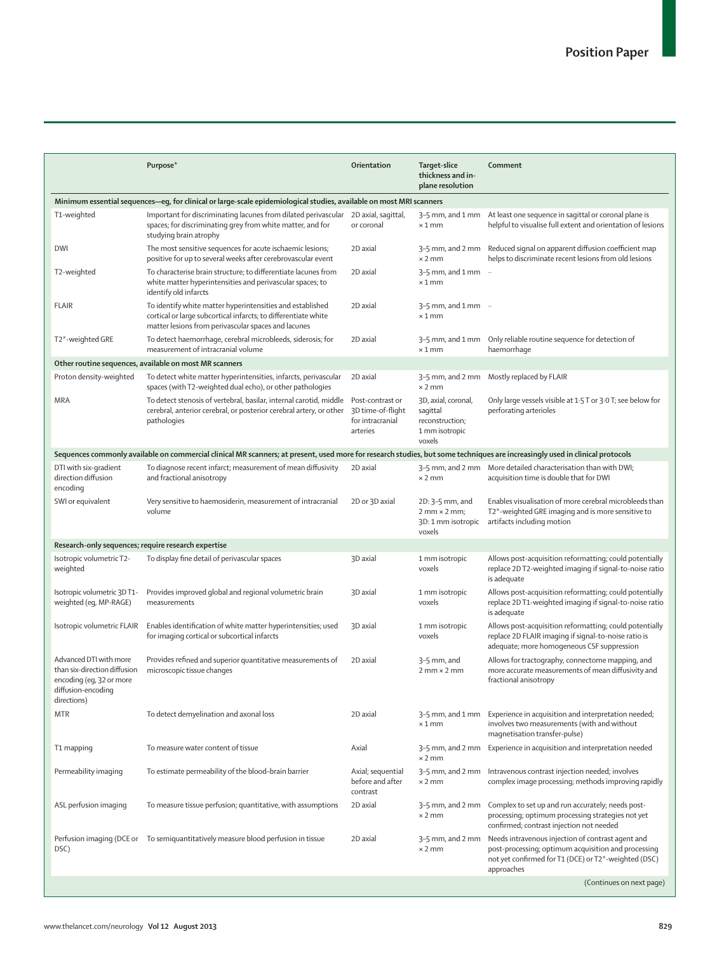|                                                                                                                         | Purpose*                                                                                                                                                                           | Orientation                                       | Target-slice<br>thickness and in-<br>plane resolution                          | Comment                                                                                                                                                                        |  |  |
|-------------------------------------------------------------------------------------------------------------------------|------------------------------------------------------------------------------------------------------------------------------------------------------------------------------------|---------------------------------------------------|--------------------------------------------------------------------------------|--------------------------------------------------------------------------------------------------------------------------------------------------------------------------------|--|--|
| Minimum essential sequences—eg, for clinical or large-scale epidemiological studies, available on most MRI scanners     |                                                                                                                                                                                    |                                                   |                                                                                |                                                                                                                                                                                |  |  |
| T1-weighted                                                                                                             | Important for discriminating lacunes from dilated perivascular 2D axial, sagittal,<br>spaces; for discriminating grey from white matter, and for<br>studying brain atrophy         | or coronal                                        | $3-5$ mm, and 1 mm<br>$\times$ 1 mm                                            | At least one sequence in sagittal or coronal plane is<br>helpful to visualise full extent and orientation of lesions                                                           |  |  |
| <b>DWI</b>                                                                                                              | The most sensitive sequences for acute ischaemic lesions;<br>positive for up to several weeks after cerebrovascular event                                                          | 2D axial                                          | $3-5$ mm, and 2 mm<br>$\times$ 2 mm                                            | Reduced signal on apparent diffusion coefficient map<br>helps to discriminate recent lesions from old lesions                                                                  |  |  |
| T2-weighted                                                                                                             | To characterise brain structure; to differentiate lacunes from<br>white matter hyperintensities and perivascular spaces; to<br>identify old infarcts                               | 2D axial                                          | $3-5$ mm, and 1 mm $\cdot$<br>$\times$ 1 mm                                    |                                                                                                                                                                                |  |  |
| <b>FLAIR</b>                                                                                                            | To identify white matter hyperintensities and established<br>cortical or large subcortical infarcts; to differentiate white<br>matter lesions from perivascular spaces and lacunes | 2D axial                                          | $3-5$ mm, and 1 mm $\cdot$<br>$\times$ 1 mm                                    |                                                                                                                                                                                |  |  |
| T2*-weighted GRE                                                                                                        | To detect haemorrhage, cerebral microbleeds, siderosis; for<br>measurement of intracranial volume                                                                                  | 2D axial                                          | 3–5 mm, and 1 mm<br>$\times$ 1 mm                                              | Only reliable routine sequence for detection of<br>haemorrhage                                                                                                                 |  |  |
|                                                                                                                         | Other routine sequences, available on most MR scanners                                                                                                                             |                                                   |                                                                                |                                                                                                                                                                                |  |  |
| Proton density-weighted                                                                                                 | To detect white matter hyperintensities, infarcts, perivascular<br>spaces (with T2-weighted dual echo), or other pathologies                                                       | 2D axial                                          | 3-5 mm, and 2 mm<br>$\times$ 2 mm                                              | Mostly replaced by FLAIR                                                                                                                                                       |  |  |
| <b>MRA</b>                                                                                                              | To detect stenosis of vertebral, basilar, internal carotid, middle Post-contrast or<br>cerebral, anterior cerebral, or posterior cerebral artery, or other<br>pathologies          | 3D time-of-flight<br>for intracranial<br>arteries | 3D, axial, coronal,<br>sagittal<br>reconstruction;<br>1 mm isotropic<br>voxels | Only large vessels visible at 1.5 T or 3.0 T; see below for<br>perforating arterioles                                                                                          |  |  |
|                                                                                                                         | Sequences commonly available on commercial clinical MR scanners; at present, used more for research studies, but some techniques are increasingly used in clinical protocols       |                                                   |                                                                                |                                                                                                                                                                                |  |  |
| DTI with six-gradient<br>direction diffusion<br>encoding                                                                | To diagnose recent infarct; measurement of mean diffusivity<br>and fractional anisotropy                                                                                           | 2D axial                                          | $\times$ 2 mm                                                                  | 3-5 mm, and 2 mm More detailed characterisation than with DWI;<br>acquisition time is double that for DWI                                                                      |  |  |
| SWI or equivalent                                                                                                       | Very sensitive to haemosiderin, measurement of intracranial<br>volume                                                                                                              | 2D or 3D axial                                    | 2D: 3-5 mm, and<br>$2$ mm $\times$ 2 mm;<br>3D: 1 mm isotropic<br>voxels       | Enables visualisation of more cerebral microbleeds than<br>T2*-weighted GRE imaging and is more sensitive to<br>artifacts including motion                                     |  |  |
| Research-only sequences; require research expertise                                                                     |                                                                                                                                                                                    |                                                   |                                                                                |                                                                                                                                                                                |  |  |
| Isotropic volumetric T2-<br>weighted                                                                                    | To display fine detail of perivascular spaces                                                                                                                                      | 3D axial                                          | 1 mm isotropic<br>voxels                                                       | Allows post-acquisition reformatting; could potentially<br>replace 2D T2-weighted imaging if signal-to-noise ratio<br>is adequate                                              |  |  |
| Isotropic volumetric 3D T1-<br>weighted (eg, MP-RAGE)                                                                   | Provides improved global and regional volumetric brain<br>measurements                                                                                                             | 3D axial                                          | 1 mm isotropic<br>voxels                                                       | Allows post-acquisition reformatting; could potentially<br>replace 2D T1-weighted imaging if signal-to-noise ratio<br>is adequate                                              |  |  |
| Isotropic volumetric FLAIR                                                                                              | Enables identification of white matter hyperintensities; used<br>for imaging cortical or subcortical infarcts                                                                      | 3D axial                                          | 1 mm isotropic<br>voxels                                                       | Allows post-acquisition reformatting; could potentially<br>replace 2D FLAIR imaging if signal-to-noise ratio is<br>adequate; more homogeneous CSF suppression                  |  |  |
| Advanced DTI with more<br>than six-direction diffusion<br>encoding (eg, 32 or more<br>diffusion-encoding<br>directions) | Provides refined and superior quantitative measurements of<br>microscopic tissue changes                                                                                           | 2D axial                                          | $3-5$ mm, and<br>$2$ mm $\times$ 2 mm                                          | Allows for tractography, connectome mapping, and<br>more accurate measurements of mean diffusivity and<br>fractional anisotropy                                                |  |  |
| <b>MTR</b>                                                                                                              | To detect demyelination and axonal loss                                                                                                                                            | 2D axial                                          | $3-5$ mm, and 1 mm<br>$\times$ 1 mm                                            | Experience in acquisition and interpretation needed;<br>involves two measurements (with and without<br>magnetisation transfer-pulse)                                           |  |  |
| T1 mapping                                                                                                              | To measure water content of tissue                                                                                                                                                 | Axial                                             | $3-5$ mm, and 2 mm<br>$\times$ 2 mm                                            | Experience in acquisition and interpretation needed                                                                                                                            |  |  |
| Permeability imaging                                                                                                    | To estimate permeability of the blood-brain barrier                                                                                                                                | Axial; sequential<br>before and after<br>contrast | 3-5 mm, and 2 mm<br>$\times$ 2 mm                                              | Intravenous contrast injection needed; involves<br>complex image processing; methods improving rapidly                                                                         |  |  |
| ASL perfusion imaging                                                                                                   | To measure tissue perfusion; quantitative, with assumptions                                                                                                                        | 2D axial                                          | $3-5$ mm, and 2 mm<br>$\times$ 2 mm                                            | Complex to set up and run accurately; needs post-<br>processing; optimum processing strategies not yet<br>confirmed; contrast injection not needed                             |  |  |
| DSC)                                                                                                                    | Perfusion imaging (DCE or To semiquantitatively measure blood perfusion in tissue                                                                                                  | 2D axial                                          | $3-5$ mm, and 2 mm<br>$\times$ 2 mm                                            | Needs intravenous injection of contrast agent and<br>post-processing; optimum acquisition and processing<br>not yet confirmed for T1 (DCE) or T2*-weighted (DSC)<br>approaches |  |  |
|                                                                                                                         |                                                                                                                                                                                    |                                                   |                                                                                | (Continues on next page)                                                                                                                                                       |  |  |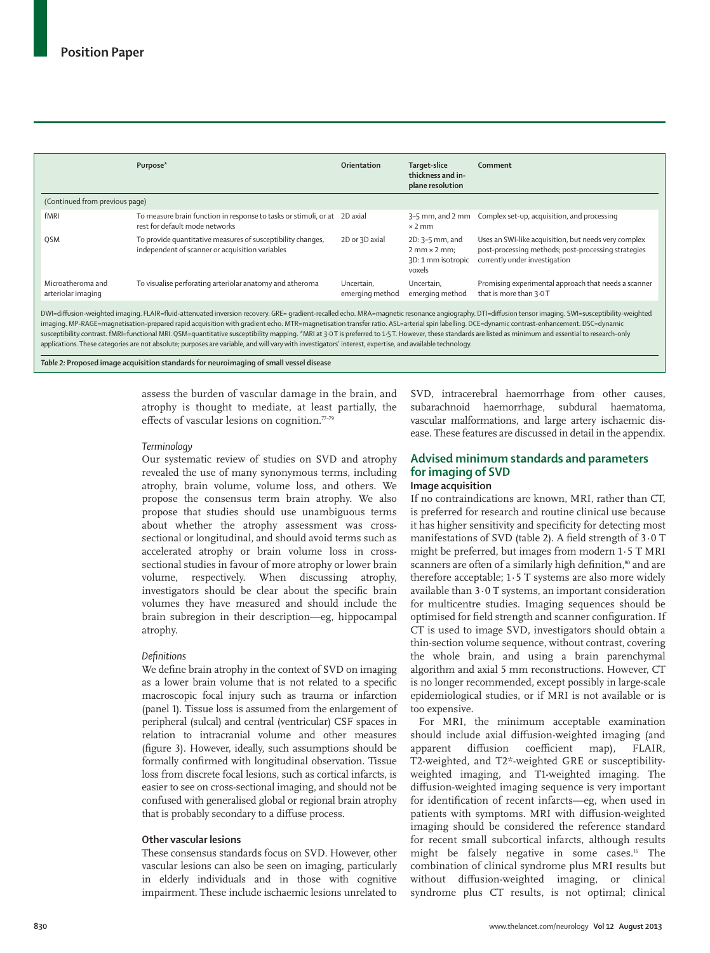|                                         | Purpose*                                                                                                       | Orientation                   | Target-slice<br>thickness and in-<br>plane resolution                                   | Comment                                                                                                                                      |  |  |
|-----------------------------------------|----------------------------------------------------------------------------------------------------------------|-------------------------------|-----------------------------------------------------------------------------------------|----------------------------------------------------------------------------------------------------------------------------------------------|--|--|
| (Continued from previous page)          |                                                                                                                |                               |                                                                                         |                                                                                                                                              |  |  |
| fMRI                                    | To measure brain function in response to tasks or stimuli, or at 2D axial<br>rest for default mode networks    |                               | $3-5$ mm, and 2 mm<br>$\times$ 2 mm                                                     | Complex set-up, acquisition, and processing                                                                                                  |  |  |
| <b>OSM</b>                              | To provide quantitative measures of susceptibility changes,<br>independent of scanner or acquisition variables | 2D or 3D axial                | $2D: 3-5$ mm, and<br>$2 \text{ mm} \times 2 \text{ mm}$<br>3D: 1 mm isotropic<br>voxels | Uses an SWI-like acquisition, but needs very complex<br>post-processing methods; post-processing strategies<br>currently under investigation |  |  |
| Microatheroma and<br>arteriolar imaging | To visualise perforating arteriolar anatomy and atheroma                                                       | Uncertain,<br>emerging method | Uncertain,<br>emerging method                                                           | Promising experimental approach that needs a scanner<br>that is more than 3.0 T                                                              |  |  |
|                                         |                                                                                                                |                               |                                                                                         |                                                                                                                                              |  |  |

DWI=diffusion-weighted imaging. FLAIR=fluid-attenuated inversion recovery. GRE= gradient-recalled echo. MRA=magnetic resonance angiography. DTI=diffusion tensor imaging. SWI=susceptibility-weighted imaging. MP-RAGE=magnetisation-prepared rapid acquisition with gradient echo. MTR=magnetisation transfer ratio. ASL=arterial spin labelling. DCE=dynamic contrast-enhancement. DSC=dynamic susceptibility contrast. fMRI=functional MRI. QSM=quantitative susceptibility mapping. \*MRI at 3·0 T is preferred to 1·5 T. However, these standards are listed as minimum and essential to research-only applications. These categories are not absolute; purposes are variable, and will vary with investigators' interest, expertise, and available technology.

*Table 2:* **Proposed image acquisition standards for neuroimaging of small vessel disease**

assess the burden of vascular damage in the brain, and atrophy is thought to mediate, at least partially, the effects of vascular lesions on cognition. $77-79$ 

## *Terminology*

Our systematic review of studies on SVD and atrophy revealed the use of many synonymous terms, including atrophy, brain volume, volume loss, and others. We propose the consensus term brain atrophy. We also propose that studies should use unambiguous terms about whether the atrophy assessment was crosssectional or longitudinal, and should avoid terms such as accelerated atrophy or brain volume loss in crosssectional studies in favour of more atrophy or lower brain volume, respectively. When discussing atrophy, investigators should be clear about the specific brain volumes they have measured and should include the brain subregion in their description—eg, hippocampal atrophy.

#### *Defi nitions*

We define brain atrophy in the context of SVD on imaging as a lower brain volume that is not related to a specific macroscopic focal injury such as trauma or infarction (panel 1). Tissue loss is assumed from the enlargement of peripheral (sulcal) and central (ventricular) CSF spaces in relation to intracranial volume and other measures (figure 3). However, ideally, such assumptions should be formally confirmed with longitudinal observation. Tissue loss from discrete focal lesions, such as cortical infarcts, is easier to see on cross-sectional imaging, and should not be confused with generalised global or regional brain atrophy that is probably secondary to a diffuse process.

## **Other vascular lesions**

These consensus standards focus on SVD. However, other vascular lesions can also be seen on imaging, particularly in elderly individuals and in those with cognitive impairment. These include ischaemic lesions unrelated to SVD, intracerebral haemorrhage from other causes, subarachnoid haemorrhage, subdural haematoma, vascular malformations, and large artery ischaemic disease. These features are discussed in detail in the appendix.

## **Advised minimum standards and parameters for imaging of SVD Image acquisition**

If no contraindications are known, MRI, rather than CT, is preferred for research and routine clinical use because it has higher sensitivity and specificity for detecting most manifestations of SVD (table 2). A field strength of  $3.0$  T might be preferred, but images from modern 1·5 T MRI scanners are often of a similarly high definition,<sup>80</sup> and are therefore acceptable; 1·5 T systems are also more widely available than 3·0 T systems, an important consideration for multicentre studies. Imaging sequences should be optimised for field strength and scanner configuration. If CT is used to image SVD, investigators should obtain a thin-section volume sequence, without contrast, covering the whole brain, and using a brain parenchymal algorithm and axial 5 mm reconstructions. However, CT is no longer recommended, except possibly in large-scale epidemiological studies, or if MRI is not available or is too expensive.

For MRI, the minimum acceptable examination should include axial diffusion-weighted imaging (and apparent diffusion coefficient map), FLAIR, T2-weighted, and T2\*-weighted GRE or susceptibilityweighted imaging, and T1-weighted imaging. The diffusion-weighted imaging sequence is very important for identification of recent infarcts—eg, when used in patients with symptoms. MRI with diffusion-weighted imaging should be considered the reference standard for recent small subcortical infarcts, although results might be falsely negative in some cases.16 The combination of clinical syndrome plus MRI results but without diffusion-weighted imaging, or clinical syndrome plus CT results, is not optimal; clinical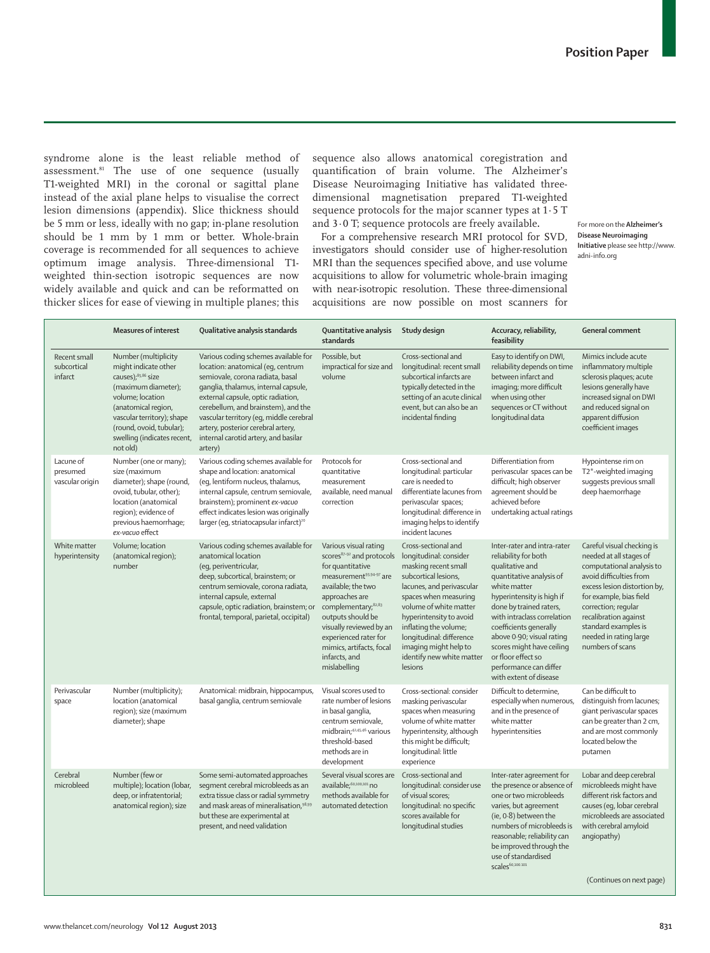syndrome alone is the least reliable method of assessment.81 The use of one sequence (usually T1-weighted MRI) in the coronal or sagittal plane instead of the axial plane helps to visualise the correct lesion dimensions (appendix). Slice thickness should be 5 mm or less, ideally with no gap; in-plane resolution should be 1 mm by 1 mm or better. Whole-brain coverage is recommended for all sequences to achieve optimum image analysis. Three-dimensional T1 weighted thin-section isotropic sequences are now widely available and quick and can be reformatted on thicker slices for ease of viewing in multiple planes; this sequence also allows anatomical coregistration and quantification of brain volume. The Alzheimer's Disease Neuroimaging Initiative has validated threedimensional magnetisation prepared T1-weighted sequence protocols for the major scanner types at 1·5 T and 3·0 T; sequence protocols are freely available**.**

For a comprehensive research MRI protocol for SVD, investigators should consider use of higher-resolution MRI than the sequences specified above, and use volume acquisitions to allow for volumetric whole-brain imaging with near-isotropic resolution. These three-dimensional acquisitions are now possible on most scanners for

For more on the **Alzheimer's Disease Neuroimaging Initiative** please see http://www. adni-info.org

|                                          | <b>Measures of interest</b>                                                                                                                                                                                                                           | Qualitative analysis standards                                                                                                                                                                                                                                                                                                                                         | Quantitative analysis<br>standards                                                                                                                                                                                                                                                                                                         | Study design                                                                                                                                                                                                                                                                                                                   | Accuracy, reliability,<br>feasibility                                                                                                                                                                                                                                                                                                                                   | <b>General comment</b>                                                                                                                                                                                                                                                                         |
|------------------------------------------|-------------------------------------------------------------------------------------------------------------------------------------------------------------------------------------------------------------------------------------------------------|------------------------------------------------------------------------------------------------------------------------------------------------------------------------------------------------------------------------------------------------------------------------------------------------------------------------------------------------------------------------|--------------------------------------------------------------------------------------------------------------------------------------------------------------------------------------------------------------------------------------------------------------------------------------------------------------------------------------------|--------------------------------------------------------------------------------------------------------------------------------------------------------------------------------------------------------------------------------------------------------------------------------------------------------------------------------|-------------------------------------------------------------------------------------------------------------------------------------------------------------------------------------------------------------------------------------------------------------------------------------------------------------------------------------------------------------------------|------------------------------------------------------------------------------------------------------------------------------------------------------------------------------------------------------------------------------------------------------------------------------------------------|
| Recent small<br>subcortical<br>infarct   | Number (multiplicity<br>might indicate other<br>causes); <sup>85,86</sup> size<br>(maximum diameter);<br>volume; location<br>(anatomical region,<br>vascular territory); shape<br>(round, ovoid, tubular);<br>swelling (indicates recent,<br>not old) | Various coding schemes available for<br>location: anatomical (eq, centrum<br>semiovale, corona radiata, basal<br>ganglia, thalamus, internal capsule,<br>external capsule, optic radiation,<br>cerebellum, and brainstem), and the<br>vascular territory (eq, middle cerebral<br>artery, posterior cerebral artery,<br>internal carotid artery, and basilar<br>artery) | Possible, but<br>impractical for size and<br>volume                                                                                                                                                                                                                                                                                        | Cross-sectional and<br>longitudinal: recent small<br>subcortical infarcts are<br>typically detected in the<br>setting of an acute clinical<br>event, but can also be an<br>incidental finding                                                                                                                                  | Easy to identify on DWI,<br>reliability depends on time<br>between infarct and<br>imaging; more difficult<br>when using other<br>sequences or CT without<br>longitudinal data                                                                                                                                                                                           | Mimics include acute<br>inflammatory multiple<br>sclerosis plaques; acute<br>lesions generally have<br>increased signal on DWI<br>and reduced signal on<br>apparent diffusion<br>coefficient images                                                                                            |
| Lacune of<br>presumed<br>vascular origin | Number (one or many);<br>size (maximum<br>diameter); shape (round,<br>ovoid, tubular, other);<br>location (anatomical<br>region); evidence of<br>previous haemorrhage;<br>ex-vacuo effect                                                             | Various coding schemes available for<br>shape and location: anatomical<br>(eq, lentiform nucleus, thalamus,<br>internal capsule, centrum semiovale,<br>brainstem); prominent ex-vacuo<br>effect indicates lesion was originally<br>larger (eg, striatocapsular infarct) <sup>20</sup>                                                                                  | Protocols for<br>quantitative<br>measurement<br>available, need manual<br>correction                                                                                                                                                                                                                                                       | Cross-sectional and<br>longitudinal: particular<br>care is needed to<br>differentiate lacunes from<br>perivascular spaces;<br>longitudinal: difference in<br>imaging helps to identify<br>incident lacunes                                                                                                                     | Differentiation from<br>perivascular spaces can be<br>difficult; high observer<br>agreement should be<br>achieved before<br>undertaking actual ratings                                                                                                                                                                                                                  | Hypointense rim on<br>T2*-weighted imaging<br>suggests previous small<br>deep haemorrhage                                                                                                                                                                                                      |
| White matter<br>hyperintensity           | Volume; location<br>(anatomical region);<br>number                                                                                                                                                                                                    | Various coding schemes available for<br>anatomical location<br>(eq, periventricular,<br>deep, subcortical, brainstem; or<br>centrum semiovale, corona radiata,<br>internal capsule, external<br>capsule, optic radiation, brainstem; or<br>frontal, temporal, parietal, occipital)                                                                                     | Various visual rating<br>scores <sup>87-92</sup> and protocols<br>for quantitative<br>measurement <sup>93,94-97</sup> are<br>available; the two<br>approaches are<br>complementary; <sup>82,83</sup><br>outputs should be<br>visually reviewed by an<br>experienced rater for<br>mimics, artifacts, focal<br>infarcts, and<br>mislabelling | Cross-sectional and<br>longitudinal: consider<br>masking recent small<br>subcortical lesions,<br>lacunes, and perivascular<br>spaces when measuring<br>volume of white matter<br>hyperintensity to avoid<br>inflating the volume;<br>longitudinal: difference<br>imaging might help to<br>identify new white matter<br>lesions | Inter-rater and intra-rater<br>reliability for both<br>qualitative and<br>quantitative analysis of<br>white matter<br>hyperintensity is high if<br>done by trained raters,<br>with intraclass correlation<br>coefficients generally<br>above 0.90; visual rating<br>scores might have ceiling<br>or floor effect so<br>performance can differ<br>with extent of disease | Careful visual checking is<br>needed at all stages of<br>computational analysis to<br>avoid difficulties from<br>excess lesion distortion by,<br>for example, bias field<br>correction; regular<br>recalibration against<br>standard examples is<br>needed in rating large<br>numbers of scans |
| Perivascular<br>space                    | Number (multiplicity);<br>location (anatomical<br>region); size (maximum<br>diameter); shape                                                                                                                                                          | Anatomical: midbrain, hippocampus,<br>basal ganglia, centrum semiovale                                                                                                                                                                                                                                                                                                 | Visual scores used to<br>rate number of lesions<br>in basal ganglia,<br>centrum semiovale,<br>midbrain; <sup>42,45,46</sup> various<br>threshold-based<br>methods are in<br>development                                                                                                                                                    | Cross-sectional: consider<br>masking perivascular<br>spaces when measuring<br>volume of white matter<br>hyperintensity, although<br>this might be difficult;<br>longitudinal: little<br>experience                                                                                                                             | Difficult to determine,<br>especially when numerous,<br>and in the presence of<br>white matter<br>hyperintensities                                                                                                                                                                                                                                                      | Can be difficult to<br>distinguish from lacunes;<br>giant perivascular spaces<br>can be greater than 2 cm,<br>and are most commonly<br>located below the<br>putamen                                                                                                                            |
| Cerebral<br>microbleed                   | Number (few or<br>multiple); location (lobar,<br>deep, or infratentorial;<br>anatomical region); size                                                                                                                                                 | Some semi-automated approaches<br>segment cerebral microbleeds as an<br>extra tissue class or radial symmetry<br>and mask areas of mineralisation, 98,99<br>but these are experimental at<br>present, and need validation                                                                                                                                              | Several visual scores are<br>available; <sup>60,100,101</sup> no<br>methods available for<br>automated detection                                                                                                                                                                                                                           | Cross-sectional and<br>longitudinal: consider use<br>of visual scores;<br>longitudinal: no specific<br>scores available for<br>longitudinal studies                                                                                                                                                                            | Inter-rater agreement for<br>the presence or absence of<br>one or two microbleeds<br>varies, but agreement<br>(ie, 0.8) between the<br>numbers of microbleeds is<br>reasonable; reliability can<br>be improved through the<br>use of standardised<br>scales <sup>60,100.101</sup>                                                                                       | Lobar and deep cerebral<br>microbleeds might have<br>different risk factors and<br>causes (eq, lobar cerebral<br>microbleeds are associated<br>with cerebral amyloid<br>angiopathy)<br>(Continues on next page)                                                                                |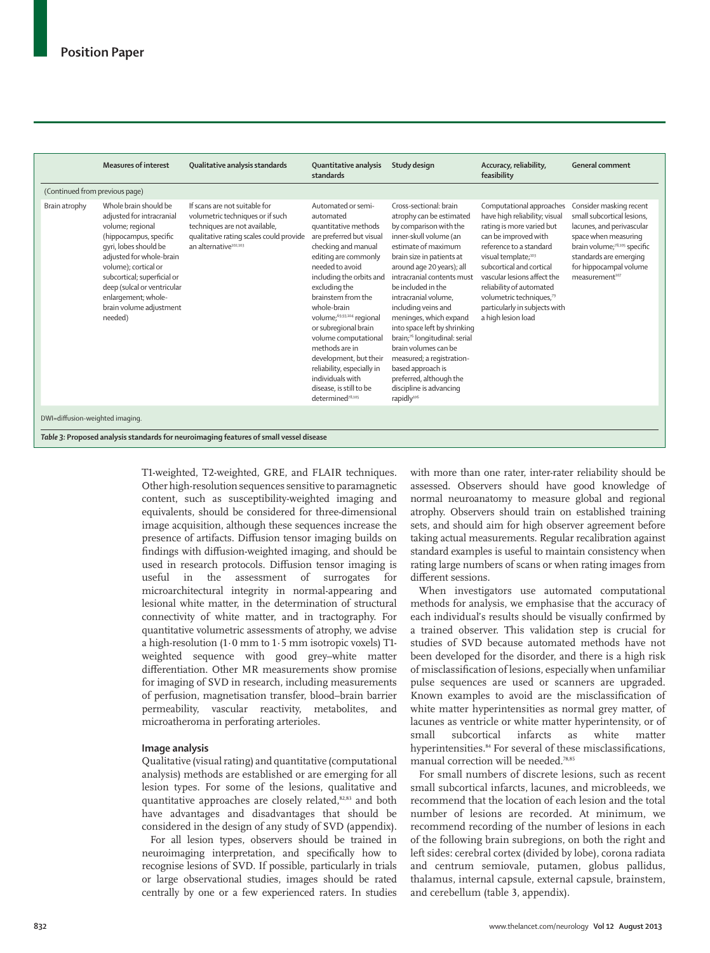|                                                                                        | <b>Measures of interest</b>                                                                                                                                                                                                                                                                              | Qualitative analysis standards                                                                                                                                                     | Quantitative analysis<br>standards                                                                                                                                                                                                                                                                                                                                                                                                                                                        | Study design                                                                                                                                                                                                                                                                                                                                                                                                                                                                                                                                                | Accuracy, reliability,<br>feasibility                                                                                                                                                                                                                                                                                                                  | <b>General comment</b>                                                                                                                                                                                                                   |  |
|----------------------------------------------------------------------------------------|----------------------------------------------------------------------------------------------------------------------------------------------------------------------------------------------------------------------------------------------------------------------------------------------------------|------------------------------------------------------------------------------------------------------------------------------------------------------------------------------------|-------------------------------------------------------------------------------------------------------------------------------------------------------------------------------------------------------------------------------------------------------------------------------------------------------------------------------------------------------------------------------------------------------------------------------------------------------------------------------------------|-------------------------------------------------------------------------------------------------------------------------------------------------------------------------------------------------------------------------------------------------------------------------------------------------------------------------------------------------------------------------------------------------------------------------------------------------------------------------------------------------------------------------------------------------------------|--------------------------------------------------------------------------------------------------------------------------------------------------------------------------------------------------------------------------------------------------------------------------------------------------------------------------------------------------------|------------------------------------------------------------------------------------------------------------------------------------------------------------------------------------------------------------------------------------------|--|
|                                                                                        | (Continued from previous page)                                                                                                                                                                                                                                                                           |                                                                                                                                                                                    |                                                                                                                                                                                                                                                                                                                                                                                                                                                                                           |                                                                                                                                                                                                                                                                                                                                                                                                                                                                                                                                                             |                                                                                                                                                                                                                                                                                                                                                        |                                                                                                                                                                                                                                          |  |
| Brain atrophy                                                                          | Whole brain should be<br>adjusted for intracranial<br>volume; regional<br>(hippocampus, specific<br>qyri, lobes should be<br>adjusted for whole-brain<br>volume); cortical or<br>subcortical; superficial or<br>deep (sulcal or ventricular<br>enlargement; whole-<br>brain volume adjustment<br>needed) | If scans are not suitable for<br>volumetric techniques or if such<br>techniques are not available,<br>qualitative rating scales could provide<br>an alternative <sup>102,103</sup> | Automated or semi-<br>automated<br>quantitative methods<br>are preferred but visual<br>checking and manual<br>editing are commonly<br>needed to avoid<br>including the orbits and<br>excluding the<br>brainstem from the<br>whole-brain<br>volume; <sup>69,93,104</sup> regional<br>or subregional brain<br>volume computational<br>methods are in<br>development, but their<br>reliability, especially in<br>individuals with<br>disease, is still to be<br>determined <sup>78,105</sup> | Cross-sectional: brain<br>atrophy can be estimated<br>by comparison with the<br>inner-skull volume (an<br>estimate of maximum<br>brain size in patients at<br>around age 20 years); all<br>intracranial contents must<br>be included in the<br>intracranial volume.<br>including veins and<br>meninges, which expand<br>into space left by shrinking<br>brain; <sup>76</sup> longitudinal: serial<br>brain volumes can be<br>measured; a registration-<br>based approach is<br>preferred, although the<br>discipline is advancing<br>rapidly <sup>106</sup> | Computational approaches<br>have high reliability; visual<br>rating is more varied but<br>can be improved with<br>reference to a standard<br>visual template; <sup>103</sup><br>subcortical and cortical<br>vascular lesions affect the<br>reliability of automated<br>volumetric techniques,79<br>particularly in subjects with<br>a high lesion load | Consider masking recent<br>small subcortical lesions.<br>lacunes, and perivascular<br>space when measuring<br>brain volume; <sup>78,105</sup> specific<br>standards are emerging<br>for hippocampal volume<br>measurement <sup>107</sup> |  |
| DWI=diffusion-weighted imaging.                                                        |                                                                                                                                                                                                                                                                                                          |                                                                                                                                                                                    |                                                                                                                                                                                                                                                                                                                                                                                                                                                                                           |                                                                                                                                                                                                                                                                                                                                                                                                                                                                                                                                                             |                                                                                                                                                                                                                                                                                                                                                        |                                                                                                                                                                                                                                          |  |
| Table 3: Proposed analysis standards for neuroimaging features of small vessel disease |                                                                                                                                                                                                                                                                                                          |                                                                                                                                                                                    |                                                                                                                                                                                                                                                                                                                                                                                                                                                                                           |                                                                                                                                                                                                                                                                                                                                                                                                                                                                                                                                                             |                                                                                                                                                                                                                                                                                                                                                        |                                                                                                                                                                                                                                          |  |

T1-weighted, T2-weighted, GRE, and FLAIR techniques. Other high-resolution sequences sensitive to paramagnetic content, such as susceptibility-weighted imaging and equivalents, should be considered for three-dimensional image acquisition, although these sequences increase the presence of artifacts. Diffusion tensor imaging builds on findings with diffusion-weighted imaging, and should be used in research protocols. Diffusion tensor imaging is<br>useful in the assessment of surrogates for assessment of surrogates for microarchitectural integrity in normal-appearing and lesional white matter, in the determination of structural connectivity of white matter, and in tractography. For quantitative volumetric assessments of atrophy, we advise a high-resolution (1·0 mm to 1·5 mm isotropic voxels) T1 weighted sequence with good grey–white matter differentiation. Other MR measurements show promise for imaging of SVD in research, including measurements of perfusion, magnetisation transfer, blood–brain barrier permeability, vascular reactivity, metabolites, and microatheroma in perforating arterioles.

## **Image analysis**

Qualitative (visual rating) and quantitative (computational analysis) methods are established or are emerging for all lesion types. For some of the lesions, qualitative and quantitative approaches are closely related,<sup>82,83</sup> and both have advantages and disadvantages that should be considered in the design of any study of SVD (appendix).

For all lesion types, observers should be trained in neuroimaging interpretation, and specifically how to recognise lesions of SVD. If possible, particularly in trials or large observational studies, images should be rated centrally by one or a few experienced raters. In studies with more than one rater, inter-rater reliability should be assessed. Observers should have good knowledge of normal neuroanatomy to measure global and regional atrophy. Observers should train on established training sets, and should aim for high observer agreement before taking actual measurements. Regular recalibration against standard examples is useful to maintain consistency when rating large numbers of scans or when rating images from different sessions.

When investigators use automated computational methods for analysis, we emphasise that the accuracy of each individual's results should be visually confirmed by a trained observer. This validation step is crucial for studies of SVD because automated methods have not been developed for the disorder, and there is a high risk of misclassification of lesions, especially when unfamiliar pulse sequences are used or scanners are upgraded. Known examples to avoid are the misclassification of white matter hyperintensities as normal grey matter, of lacunes as ventricle or white matter hyperintensity, or of small subcortical infarcts as white matter hyperintensities.<sup>84</sup> For several of these misclassifications, manual correction will be needed  $78,85$ 

For small numbers of discrete lesions, such as recent small subcortical infarcts, lacunes, and microbleeds, we recommend that the location of each lesion and the total number of lesions are recorded. At minimum, we recommend recording of the number of lesions in each of the following brain subregions, on both the right and left sides: cerebral cortex (divided by lobe), corona radiata and centrum semiovale, putamen, globus pallidus, thalamus, internal capsule, external capsule, brainstem, and cerebellum (table 3, appendix).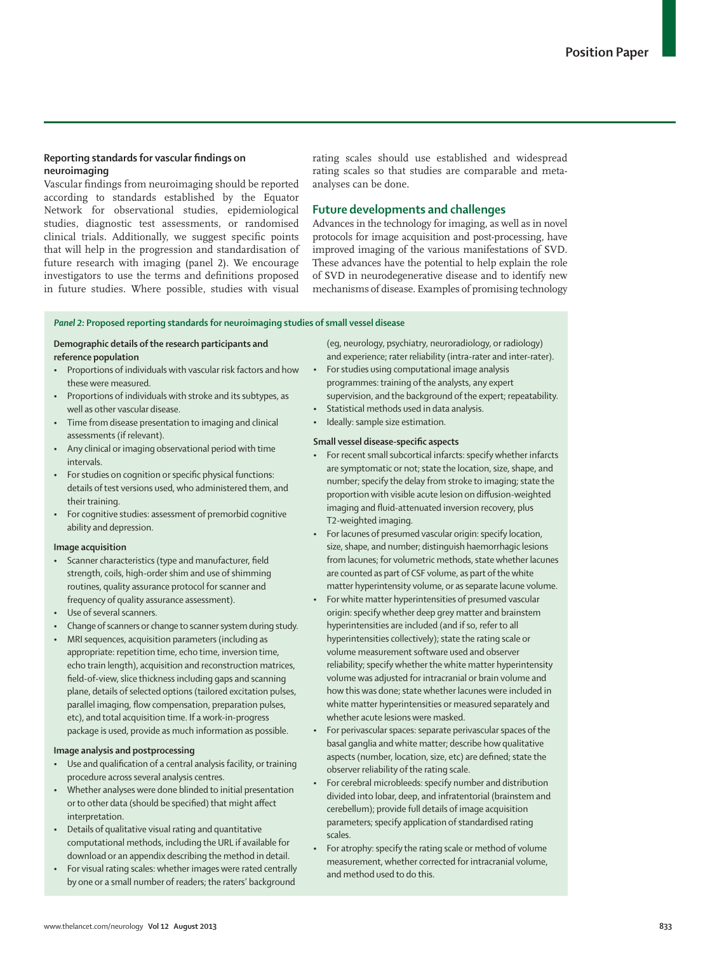## **Reporting standards for vascular findings on neuroimaging**

Vascular findings from neuroimaging should be reported according to standards established by the Equator Network for observational studies, epidemiological studies, diagnostic test assessments, or randomised clinical trials. Additionally, we suggest specific points that will help in the progression and standardisation of future research with imaging (panel 2). We encourage investigators to use the terms and definitions proposed in future studies. Where possible, studies with visual

rating scales should use established and widespread rating scales so that studies are comparable and metaanalyses can be done.

## **Future developments and challenges**

Advances in the technology for imaging, as well as in novel protocols for image acquisition and post-processing, have improved imaging of the various manifestations of SVD. These advances have the potential to help explain the role of SVD in neurodegenerative disease and to identify new mechanisms of disease. Examples of promising technology

#### *Panel 2:* **Proposed reporting standards for neuroimaging studies of small vessel disease**

## **Demographic details of the research participants and reference population**

- Proportions of individuals with vascular risk factors and how these were measured.
- Proportions of individuals with stroke and its subtypes, as well as other vascular disease.
- Time from disease presentation to imaging and clinical assessments (if relevant).
- Any clinical or imaging observational period with time intervals.
- For studies on cognition or specific physical functions: details of test versions used, who administered them, and their training.
- For cognitive studies: assessment of premorbid cognitive ability and depression.

## **Image acquisition**

- Scanner characteristics (type and manufacturer, field strength, coils, high-order shim and use of shimming routines, quality assurance protocol for scanner and frequency of quality assurance assessment).
- Use of several scanners.
- Change of scanners or change to scanner system during study.
- MRI sequences, acquisition parameters (including as appropriate: repetition time, echo time, inversion time, echo train length), acquisition and reconstruction matrices, field-of-view, slice thickness including gaps and scanning plane, details of selected options (tailored excitation pulses, parallel imaging, flow compensation, preparation pulses, etc), and total acquisition time. If a work-in-progress package is used, provide as much information as possible.

#### **Image analysis and postprocessing**

- Use and qualification of a central analysis facility, or training procedure across several analysis centres.
- Whether analyses were done blinded to initial presentation or to other data (should be specified) that might affect interpretation.
- Details of qualitative visual rating and quantitative computational methods, including the URL if available for download or an appendix describing the method in detail.
- For visual rating scales: whether images were rated centrally by one or a small number of readers; the raters' background

(eg, neurology, psychiatry, neuroradiology, or radiology) and experience; rater reliability (intra-rater and inter-rater).

- For studies using computational image analysis programmes: training of the analysts, any expert supervision, and the background of the expert; repeatability.
- Statistical methods used in data analysis.
- Ideally: sample size estimation.

## **Small vessel disease-specific aspects**

- For recent small subcortical infarcts: specify whether infarcts are symptomatic or not; state the location, size, shape, and number; specify the delay from stroke to imaging; state the proportion with visible acute lesion on diffusion-weighted imaging and fluid-attenuated inversion recovery, plus T2-weighted imaging.
- For lacunes of presumed vascular origin: specify location, size, shape, and number; distinguish haemorrhagic lesions from lacunes; for volumetric methods, state whether lacunes are counted as part of CSF volume, as part of the white matter hyperintensity volume, or as separate lacune volume.
- For white matter hyperintensities of presumed vascular origin: specify whether deep grey matter and brainstem hyperintensities are included (and if so, refer to all hyperintensities collectively); state the rating scale or volume measurement software used and observer reliability; specify whether the white matter hyperintensity volume was adjusted for intracranial or brain volume and how this was done; state whether lacunes were included in white matter hyperintensities or measured separately and whether acute lesions were masked.
- For perivascular spaces: separate perivascular spaces of the basal ganglia and white matter; describe how qualitative aspects (number, location, size, etc) are defined; state the observer reliability of the rating scale.
- For cerebral microbleeds: specify number and distribution divided into lobar, deep, and infratentorial (brainstem and cerebellum); provide full details of image acquisition parameters; specify application of standardised rating scales.
- For atrophy: specify the rating scale or method of volume measurement, whether corrected for intracranial volume, and method used to do this.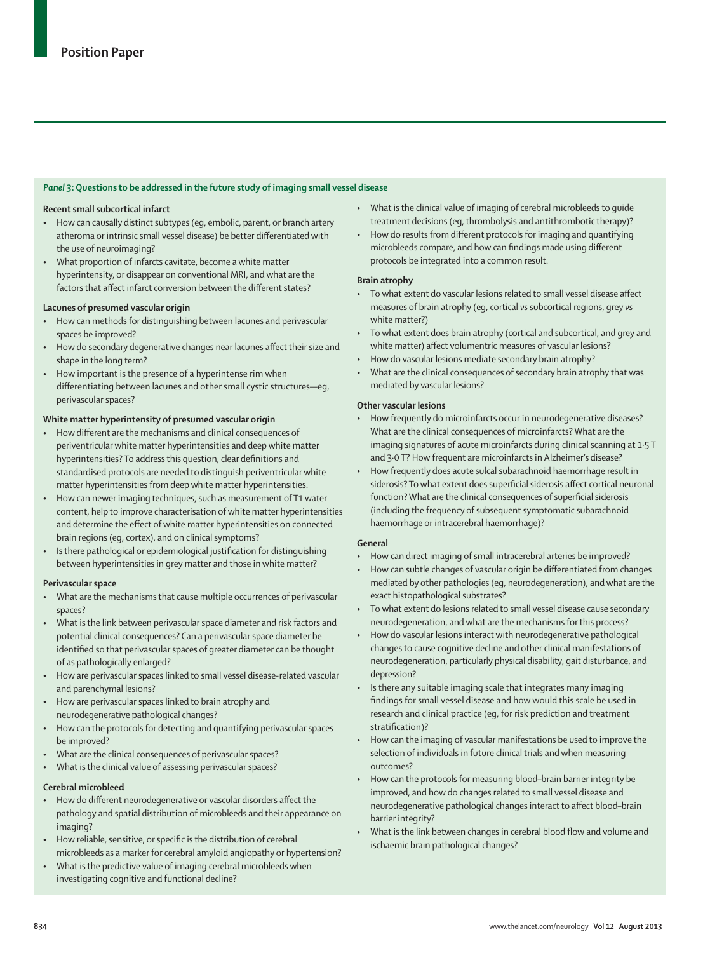## *Panel 3***: Questions to be addressed in the future study of imaging small vessel disease**

## **Recent small subcortical infarct**

- How can causally distinct subtypes (eg, embolic, parent, or branch artery atheroma or intrinsic small vessel disease) be better differentiated with the use of neuroimaging?
- What proportion of infarcts cavitate, become a white matter hyperintensity, or disappear on conventional MRI, and what are the factors that affect infarct conversion between the different states?

## **Lacunes of presumed vascular origin**

- How can methods for distinguishing between lacunes and perivascular spaces be improved?
- How do secondary degenerative changes near lacunes affect their size and shape in the long term?
- How important is the presence of a hyperintense rim when differentiating between lacunes and other small cystic structures-eg, perivascular spaces?

## **White matter hyperintensity of presumed vascular origin**

- How different are the mechanisms and clinical consequences of periventricular white matter hyperintensities and deep white matter hyperintensities? To address this question, clear definitions and standardised protocols are needed to distinguish periventricular white matter hyperintensities from deep white matter hyperintensities.
- How can newer imaging techniques, such as measurement of T1 water content, help to improve characterisation of white matter hyperintensities and determine the effect of white matter hyperintensities on connected brain regions (eg, cortex), and on clinical symptoms?
- Is there pathological or epidemiological justification for distinguishing between hyperintensities in grey matter and those in white matter?

## **Perivascular space**

- What are the mechanisms that cause multiple occurrences of perivascular spaces?
- What is the link between perivascular space diameter and risk factors and potential clinical consequences? Can a perivascular space diameter be identified so that perivascular spaces of greater diameter can be thought of as pathologically enlarged?
- How are perivascular spaces linked to small vessel disease-related vascular and parenchymal lesions?
- How are perivascular spaces linked to brain atrophy and neurodegenerative pathological changes?
- How can the protocols for detecting and quantifying perivascular spaces be improved?
- What are the clinical consequences of perivascular spaces?
- What is the clinical value of assessing perivascular spaces?

## **Cerebral microbleed**

- How do different neurodegenerative or vascular disorders affect the pathology and spatial distribution of microbleeds and their appearance on imaging?
- How reliable, sensitive, or specific is the distribution of cerebral microbleeds as a marker for cerebral amyloid angiopathy or hypertension?
- What is the predictive value of imaging cerebral microbleeds when investigating cognitive and functional decline?
- What is the clinical value of imaging of cerebral microbleeds to guide treatment decisions (eg, thrombolysis and antithrombotic therapy)?
- How do results from different protocols for imaging and quantifying microbleeds compare, and how can findings made using different protocols be integrated into a common result.

## **Brain atrophy**

- To what extent do vascular lesions related to small vessel disease affect measures of brain atrophy (eg, cortical *vs* subcortical regions, grey *vs* white matter?)
- To what extent does brain atrophy (cortical and subcortical, and grey and white matter) affect volumentric measures of vascular lesions?
- How do vascular lesions mediate secondary brain atrophy?
- What are the clinical consequences of secondary brain atrophy that was mediated by vascular lesions?

## **Other vascular lesions**

- How frequently do microinfarcts occur in neurodegenerative diseases? What are the clinical consequences of microinfarcts? What are the imaging signatures of acute microinfarcts during clinical scanning at 1·5 T and 3·0 T? How frequent are microinfarcts in Alzheimer's disease?
- How frequently does acute sulcal subarachnoid haemorrhage result in siderosis? To what extent does superficial siderosis affect cortical neuronal function? What are the clinical consequences of superficial siderosis (including the frequency of subsequent symptomatic subarachnoid haemorrhage or intracerebral haemorrhage)?

#### **General**

- How can direct imaging of small intracerebral arteries be improved?
- How can subtle changes of vascular origin be differentiated from changes mediated by other pathologies (eg, neurodegeneration), and what are the exact histopathological substrates?
- To what extent do lesions related to small vessel disease cause secondary neurodegeneration, and what are the mechanisms for this process?
- How do vascular lesions interact with neurodegenerative pathological changes to cause cognitive decline and other clinical manifestations of neurodegeneration, particularly physical disability, gait disturbance, and depression?
- Is there any suitable imaging scale that integrates many imaging findings for small vessel disease and how would this scale be used in research and clinical practice (eg, for risk prediction and treatment stratification)?
- How can the imaging of vascular manifestations be used to improve the selection of individuals in future clinical trials and when measuring outcomes?
- How can the protocols for measuring blood–brain barrier integrity be improved, and how do changes related to small vessel disease and neurodegenerative pathological changes interact to affect blood-brain barrier integrity?
- What is the link between changes in cerebral blood flow and volume and ischaemic brain pathological changes?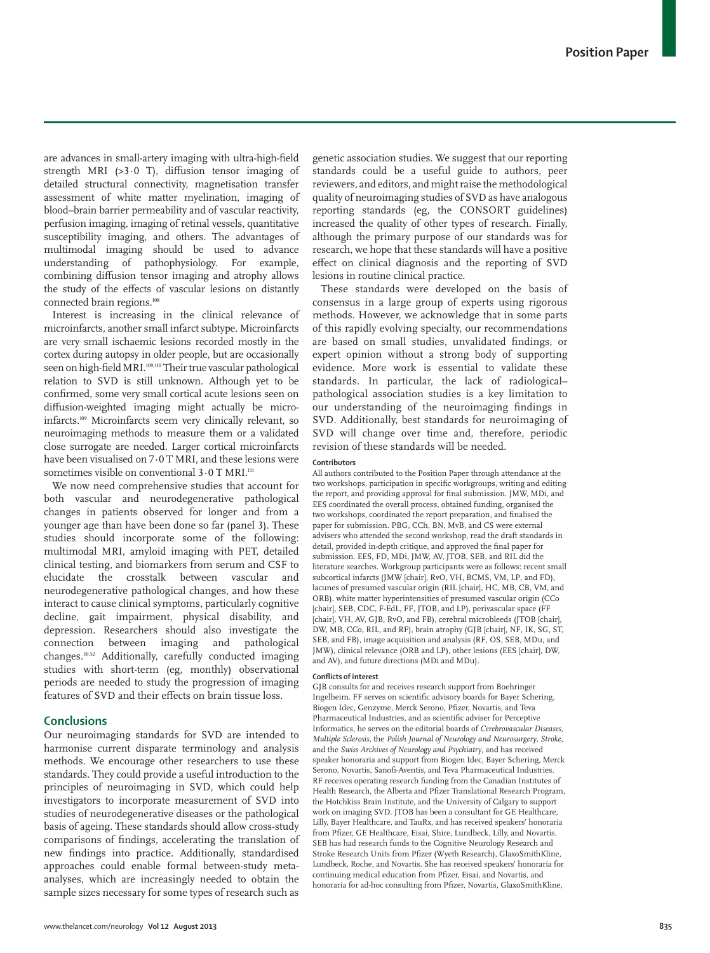are advances in small-artery imaging with ultra-high-field strength MRI  $(>3.0 T)$ , diffusion tensor imaging of detailed structural connectivity, magnetisation transfer assessment of white matter myelination, imaging of blood–brain barrier permeability and of vascular reactivity, perfusion imaging, imaging of retinal vessels, quantitative susceptibility imaging, and others. The advantages of multimodal imaging should be used to advance understanding of pathophysiology. For example, combining diffusion tensor imaging and atrophy allows the study of the effects of vascular lesions on distantly connected brain regions.<sup>108</sup>

Interest is increasing in the clinical relevance of microinfarcts, another small infarct subtype. Microinfarcts are very small ischaemic lesions recorded mostly in the cortex during autopsy in older people, but are occasionally seen on high-field MRI.<sup>109,110</sup> Their true vascular pathological relation to SVD is still unknown. Although yet to be confirmed, some very small cortical acute lesions seen on diffusion-weighted imaging might actually be microinfarcts.109 Microinfarcts seem very clinically relevant, so neuroimaging methods to measure them or a validated close surrogate are needed. Larger cortical microinfarcts have been visualised on 7.0 T MRI, and these lesions were sometimes visible on conventional 3  $\cdot$  0 T MRI.<sup>111</sup>

We now need comprehensive studies that account for both vascular and neurodegenerative pathological changes in patients observed for longer and from a younger age than have been done so far (panel 3). These studies should incorporate some of the following: multimodal MRI, amyloid imaging with PET, detailed clinical testing, and biomarkers from serum and CSF to elucidate the crosstalk between vascular and neurodegenerative pathological changes, and how these interact to cause clinical symptoms, particularly cognitive decline, gait impairment, physical disability, and depression. Researchers should also investigate the connection between imaging and pathological connection between imaging and changes.30,52 Additionally, carefully conducted imaging studies with short-term (eg, monthly) observational periods are needed to study the progression of imaging features of SVD and their effects on brain tissue loss.

## **Conclusions**

Our neuroimaging standards for SVD are intended to harmonise current disparate terminology and analysis methods. We encourage other researchers to use these standards. They could provide a useful introduction to the principles of neuroimaging in SVD, which could help investigators to incorporate measurement of SVD into studies of neurodegenerative diseases or the pathological basis of ageing. These standards should allow cross-study comparisons of findings, accelerating the translation of new findings into practice. Additionally, standardised approaches could enable formal between-study metaanalyses, which are increasingly needed to obtain the sample sizes necessary for some types of research such as

genetic association studies. We suggest that our reporting standards could be a useful guide to authors, peer reviewers, and editors, and might raise the methodological quality of neuroimaging studies of SVD as have analogous reporting standards (eg, the CONSORT guidelines) increased the quality of other types of research. Finally, although the primary purpose of our standards was for research, we hope that these standards will have a positive effect on clinical diagnosis and the reporting of SVD lesions in routine clinical practice.

These standards were developed on the basis of consensus in a large group of experts using rigorous methods. However, we acknowledge that in some parts of this rapidly evolving specialty, our recommendations are based on small studies, unvalidated findings, or expert opinion without a strong body of supporting evidence. More work is essential to validate these standards. In particular, the lack of radiological– pathological association studies is a key limitation to our understanding of the neuroimaging findings in SVD. Additionally, best standards for neuroimaging of SVD will change over time and, therefore, periodic revision of these standards will be needed.

## **Contributors**

All authors contributed to the Position Paper through attendance at the two workshops, participation in specific workgroups, writing and editing the report, and providing approval for final submission. JMW, MDi, and EES coordinated the overall process, obtained funding, organised the two workshops, coordinated the report preparation, and finalised the paper for submission. PBG, CCh, BN, MvB, and CS were external advisers who attended the second workshop, read the draft standards in detail, provided in-depth critique, and approved the final paper for submission. EES, FD, MDi, JMW, AV, JTOB, SEB, and RIL did the literature searches. Workgroup participants were as follows: recent small subcortical infarcts (JMW [chair], RvO, VH, BCMS, VM, LP, and FD), lacunes of presumed vascular origin (RIL [chair], HC, MB, CB, VM, and ORB), white matter hyperintensities of presumed vascular origin (CCo [chair], SEB, CDC, F-EdL, FF, JTOB, and LP), perivascular space (FF [chair], VH, AV, GJB, RvO, and FB), cerebral microbleeds (JTOB [chair], DW, MB, CCo, RIL, and RF), brain atrophy (GJB [chair], NF, IK, SG, ST, SEB, and FB), image acquisition and analysis (RF, OS, SEB, MDu, and JMW), clinical relevance (ORB and LP), other lesions (EES [chair], DW, and AV), and future directions (MDi and MDu).

#### **Conflicts of interest**

GIB consults for and receives research support from Boehringer Ingelheim. FF serves on scientific advisory boards for Bayer Schering, Biogen Idec, Genzyme, Merck Serono, Pfizer, Novartis, and Teva Pharmaceutical Industries, and as scientific adviser for Perceptive Informatics, he serves on the editorial boards of *Cerebrovascular Diseases*, *Multiple Sclerosis*, the *Polish Journal of Neurology and Neurosurgery*, *Stroke*, and the *Swiss Archives of Neurology and Psychiatry*, and has received speaker honoraria and support from Biogen Idec, Bayer Schering, Merck Serono, Novartis, Sanofi-Aventis, and Teva Pharmaceutical Industries. RF receives operating research funding from the Canadian Institutes of Health Research, the Alberta and Pfizer Translational Research Program, the Hotchkiss Brain Institute, and the University of Calgary to support work on imaging SVD. JTOB has been a consultant for GE Healthcare, Lilly, Bayer Healthcare, and TauRx, and has received speakers' honoraria from Pfizer, GE Healthcare, Eisai, Shire, Lundbeck, Lilly, and Novartis. SEB has had research funds to the Cognitive Neurology Research and Stroke Research Units from Pfizer (Wyeth Research), GlaxoSmithKline, Lundbeck, Roche, and Novartis. She has received speakers' honoraria for continuing medical education from Pfizer, Eisai, and Novartis, and honoraria for ad-hoc consulting from Pfizer, Novartis, GlaxoSmithKline,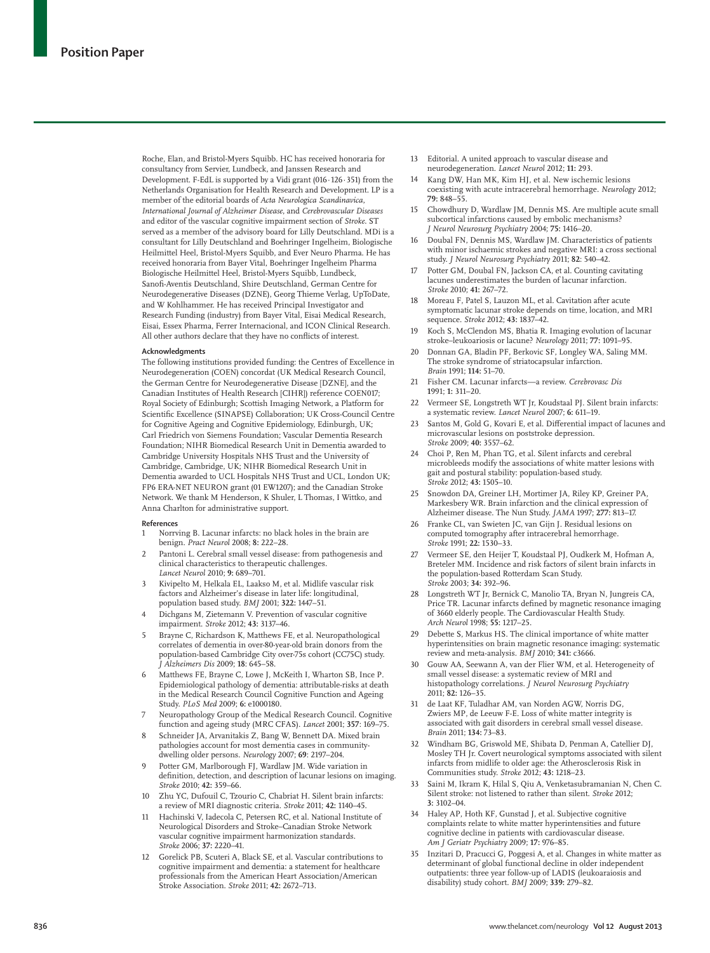Roche, Elan, and Bristol-Myers Squibb. HC has received honoraria for consultancy from Servier, Lundbeck, and Janssen Research and Development. F-EdL is supported by a Vidi grant (016·126·351) from the Netherlands Organisation for Health Research and Development. LP is a member of the editorial boards of *Acta Neurologica Scandinavica*, *International Journal of Alzheimer Disease*, and *Cerebrovascular Diseases* and editor of the vascular cognitive impairment section of *Stroke*. ST served as a member of the advisory board for Lilly Deutschland. MDi is a consultant for Lilly Deutschland and Boehringer Ingelheim, Biologische Heilmittel Heel, Bristol-Myers Squibb, and Ever Neuro Pharma. He has received honoraria from Bayer Vital, Boehringer Ingelheim Pharma Biologische Heilmittel Heel, Bristol-Myers Squibb, Lundbeck, Sanofi -Aventis Deutschland, Shire Deutschland, German Centre for Neurodegenerative Diseases (DZNE), Georg Thieme Verlag, UpToDate, and W Kohlhammer. He has received Principal Investigator and Research Funding (industry) from Bayer Vital, Eisai Medical Research, Eisai, Essex Pharma, Ferrer Internacional, and ICON Clinical Research. All other authors declare that they have no conflicts of interest.

#### **Acknowledgments**

The following institutions provided funding: the Centres of Excellence in Neurodegeneration (COEN) concordat (UK Medical Research Council, the German Centre for Neurodegenerative Disease [DZNE], and the Canadian Institutes of Health Research [CIHR]) reference COEN017; Royal Society of Edinburgh; Scottish Imaging Network, a Platform for Scientific Excellence (SINAPSE) Collaboration; UK Cross-Council Centre for Cognitive Ageing and Cognitive Epidemiology, Edinburgh, UK; Carl Friedrich von Siemens Foundation; Vascular Dementia Research Foundation; NIHR Biomedical Research Unit in Dementia awarded to Cambridge University Hospitals NHS Trust and the University of Cambridge, Cambridge, UK; NIHR Biomedical Research Unit in Dementia awarded to UCL Hospitals NHS Trust and UCL, London UK; FP6 ERA-NET NEURON grant (01 EW1207); and the Canadian Stroke Network. We thank M Henderson, K Shuler, L Thomas, I Wittko, and Anna Charlton for administrative support.

#### **References**

- 1 Norrving B. Lacunar infarcts: no black holes in the brain are benign. *Pract Neurol* 2008; **8:** 222–28.
- 2 Pantoni L. Cerebral small vessel disease: from pathogenesis and clinical characteristics to therapeutic challenges. *Lancet Neurol* 2010; **9:** 689–701.
- 3 Kivipelto M, Helkala EL, Laakso M, et al. Midlife vascular risk factors and Alzheimer's disease in later life: longitudinal, population based study. *BMJ* 2001; **322:** 1447–51.
- 4 Dichgans M, Zietemann V. Prevention of vascular cognitive impairment. *Stroke* 2012; **43:** 3137–46.
- 5 Brayne C, Richardson K, Matthews FE, et al. Neuropathological correlates of dementia in over-80-year-old brain donors from the population-based Cambridge City over-75s cohort (CC75C) study. *J Alzheimers Dis* 2009; **18**: 645–58.
- 6 Matthews FE, Brayne C, Lowe J, McKeith I, Wharton SB, Ince P. Epidemiological pathology of dementia: attributable-risks at death in the Medical Research Council Cognitive Function and Ageing Study. *PLoS Med* 2009; **6:** e1000180.
- 7 Neuropathology Group of the Medical Research Council. Cognitive function and ageing study (MRC CFAS). *Lancet* 2001; **357**: 169–75.
- 8 Schneider JA, Arvanitakis Z, Bang W, Bennett DA. Mixed brain pathologies account for most dementia cases in communitydwelling older persons. *Neurology* 2007; **69**: 2197–204.
- 9 Potter GM, Marlborough FJ, Wardlaw JM. Wide variation in definition, detection, and description of lacunar lesions on imaging. *Stroke* 2010; **42:** 359–66.
- Zhu YC, Dufouil C, Tzourio C, Chabriat H. Silent brain infarcts: a review of MRI diagnostic criteria. *Stroke* 2011; **42:** 1140–45.
- 11 Hachinski V, Iadecola C, Petersen RC, et al. National Institute of Neurological Disorders and Stroke–Canadian Stroke Network vascular cognitive impairment harmonization standards. *Stroke* 2006; **37:** 2220–41.
- 12 Gorelick PB, Scuteri A, Black SE, et al. Vascular contributions to cognitive impairment and dementia: a statement for healthcare professionals from the American Heart Association/American Stroke Association. *Stroke* 2011; **42:** 2672–713.
- 13 Editorial. A united approach to vascular disease and neurodegeneration. *Lancet Neurol* 2012; **11:** 293.
- 14 Kang DW, Han MK, Kim HJ, et al. New ischemic lesions coexisting with acute intracerebral hemorrhage. *Neurology* 2012; **79:** 848–55.
- 15 Chowdhury D, Wardlaw JM, Dennis MS. Are multiple acute small subcortical infarctions caused by embolic mechanisms? *J Neurol Neurosurg Psychiatry* 2004; **75:** 1416–20.
- 16 Doubal FN, Dennis MS, Wardlaw JM. Characteristics of patients with minor ischaemic strokes and negative MRI: a cross sectional study. *J Neurol Neurosurg Psychiatry* 2011; **82**: 540–42.
- 17 Potter GM, Doubal FN, Jackson CA, et al. Counting cavitating lacunes underestimates the burden of lacunar infarction. *Stroke* 2010; **41:** 267–72.
- 18 Moreau F, Patel S, Lauzon ML, et al. Cavitation after acute symptomatic lacunar stroke depends on time, location, and MRI sequence. *Stroke* 2012; **43:** 1837–42.
- 19 Koch S, McClendon MS, Bhatia R. Imaging evolution of lacunar stroke–leukoariosis or lacune? *Neurology* 2011; **77:** 1091–95.
- 20 Donnan GA, Bladin PF, Berkovic SF, Longley WA, Saling MM. The stroke syndrome of striatocapsular infarction. *Brain* 1991; **114:** 51–70.
- 21 Fisher CM. Lacunar infarcts—a review. *Cerebrovasc Dis* **1**991; **1:** 311–20.
- Vermeer SE, Longstreth WT Jr, Koudstaal PJ. Silent brain infarcts: a systematic review. *Lancet Neurol* 2007; **6:** 611–19.
- 23 Santos M, Gold G, Kovari E, et al. Differential impact of lacunes and microvascular lesions on poststroke depression. *Stroke* 2009; **40:** 3557–62.
- Choi P, Ren M, Phan TG, et al. Silent infarcts and cerebral microbleeds modify the associations of white matter lesions with gait and postural stability: population-based study. *Stroke* 2012; **43:** 1505–10.
- 25 Snowdon DA, Greiner LH, Mortimer JA, Riley KP, Greiner PA, Markesbery WR. Brain infarction and the clinical expression of Alzheimer disease. The Nun Study. *JAMA* 1997; **277:** 813–17.
- 26 Franke CL, van Swieten JC, van Gijn J. Residual lesions on computed tomography after intracerebral hemorrhage. *Stroke* 1991; **22:** 1530–33.
- 27 Vermeer SE, den Heijer T, Koudstaal PJ, Oudkerk M, Hofman A, Breteler MM. Incidence and risk factors of silent brain infarcts in the population-based Rotterdam Scan Study. *Stroke* 2003; **34:** 392–96.
- 28 Longstreth WT Jr, Bernick C, Manolio TA, Bryan N, Jungreis CA, Price TR. Lacunar infarcts defined by magnetic resonance imaging of 3660 elderly people. The Cardiovascular Health Study. *Arch Neurol* 1998; **55:** 1217–25.
- 29 Debette S, Markus HS. The clinical importance of white matter hyperintensities on brain magnetic resonance imaging: systematic review and meta-analysis. *BMJ* 2010; **341:** c3666.
- 30 Gouw AA, Seewann A, van der Flier WM, et al. Heterogeneity of small vessel disease: a systematic review of MRI and histopathology correlations. *J Neurol Neurosurg Psychiatry* 2011; **82:** 126–35.
- de Laat KF, Tuladhar AM, van Norden AGW, Norris DG, Zwiers MP, de Leeuw F-E. Loss of white matter integrity is associated with gait disorders in cerebral small vessel disease. *Brain* 2011; **134:** 73–83.
- 32 Windham BG, Griswold ME, Shibata D, Penman A, Catellier DJ, Mosley TH Jr. Covert neurological symptoms associated with silent infarcts from midlife to older age: the Atherosclerosis Risk in Communities study. *Stroke* 2012; **43:** 1218–23.
- 33 Saini M, Ikram K, Hilal S, Qiu A, Venketasubramanian N, Chen C. Silent stroke: not listened to rather than silent. *Stroke* 2012; **3:** 3102–04.
- 34 Haley AP, Hoth KF, Gunstad J, et al. Subjective cognitive complaints relate to white matter hyperintensities and future cognitive decline in patients with cardiovascular disease. *Am J Geriatr Psychiatry* 2009; **17:** 976–85.
- 35 Inzitari D, Pracucci G, Poggesi A, et al. Changes in white matter as determinant of global functional decline in older independent outpatients: three year follow-up of LADIS (leukoaraiosis and disability) study cohort. *BMJ* 2009; **339:** 279–82.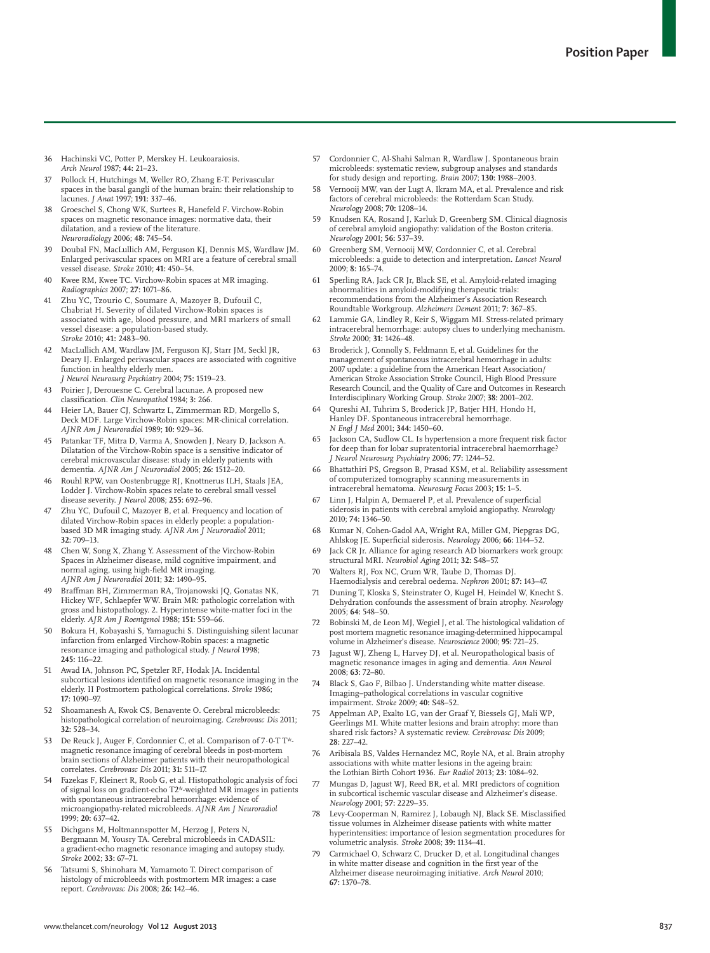- 36 Hachinski VC, Potter P, Merskey H. Leukoaraiosis. *Arch Neurol* 1987; **44:** 21–23.
- 37 Pollock H, Hutchings M, Weller RO, Zhang E-T. Perivascular spaces in the basal gangli of the human brain: their relationship to lacunes. *J Anat* 1997; **191:** 337–46.
- 38 Groeschel S, Chong WK, Surtees R, Hanefeld F. Virchow-Robin spaces on magnetic resonance images: normative data, their dilatation, and a review of the literature. *Neuroradiology* 2006; **48:** 745–54.
- 39 Doubal FN, MacLullich AM, Ferguson KJ, Dennis MS, Wardlaw JM. Enlarged perivascular spaces on MRI are a feature of cerebral small vessel disease. *Stroke* 2010; **41:** 450–54.
- 40 Kwee RM, Kwee TC. Virchow-Robin spaces at MR imaging. *Radiographics* 2007; **27:** 1071–86.
- Zhu YC, Tzourio C, Soumare A, Mazoyer B, Dufouil C, Chabriat H. Severity of dilated Virchow-Robin spaces is associated with age, blood pressure, and MRI markers of small vessel disease: a population-based study. *Stroke* 2010; **41:** 2483–90.
- 42 MacLullich AM, Wardlaw JM, Ferguson KJ, Starr JM, Seckl JR, Deary IJ. Enlarged perivascular spaces are associated with cognitive function in healthy elderly men. *J Neurol Neurosurg Psychiatry* 2004; **75:** 1519–23.
- 43 Poirier J, Derouesne C. Cerebral lacunae. A proposed new classifi cation. *Clin Neuropathol* 1984; **3:** 266.
- Heier LA, Bauer CJ, Schwartz L, Zimmerman RD, Morgello S, Deck MDF. Large Virchow-Robin spaces: MR-clinical correlation. *AJNR Am J Neuroradiol* 1989; **10:** 929–36.
- 45 Patankar TF, Mitra D, Varma A, Snowden J, Neary D, Jackson A. Dilatation of the Virchow-Robin space is a sensitive indicator of cerebral microvascular disease: study in elderly patients with dementia. *AJNR Am J Neuroradiol* 2005; **26:** 1512–20.
- 46 Rouhl RPW, van Oostenbrugge RJ, Knottnerus ILH, Staals JEA, Lodder J. Virchow-Robin spaces relate to cerebral small vessel disease severity. *J Neurol* 2008; **255:** 692–96.
- Zhu YC, Dufouil C, Mazoyer B, et al. Frequency and location of dilated Virchow-Robin spaces in elderly people: a population-based 3D MR imaging study. *AJNR Am J Neuroradiol* 2011; **32:** 709–13.
- 48 Chen W, Song X, Zhang Y. Assessment of the Virchow-Robin Spaces in Alzheimer disease, mild cognitive impairment, and normal aging, using high-field MR imaging. *AJNR Am J Neuroradiol* 2011; **32:** 1490–95.
- Braffman BH, Zimmerman RA, Trojanowski JQ, Gonatas NK, Hickey WF, Schlaepfer WW. Brain MR: pathologic correlation with gross and histopathology. 2. Hyperintense white-matter foci in the elderly. *AJR Am J Roentgenol* 1988; **151:** 559–66.
- 50 Bokura H, Kobayashi S, Yamaguchi S. Distinguishing silent lacunar infarction from enlarged Virchow-Robin spaces: a magnetic resonance imaging and pathological study. *J Neurol* 1998; **245:** 116–22.
- 51 Awad IA, Johnson PC, Spetzler RF, Hodak JA. Incidental subcortical lesions identified on magnetic resonance imaging in the elderly. II Postmortem pathological correlations. *Stroke* 1986; **17:** 1090–97.
- 52 Shoamanesh A, Kwok CS, Benavente O. Cerebral microbleeds: histopathological correlation of neuroimaging. *Cerebrovasc Dis* 2011; **32:** 528–34.
- 53 De Reuck J, Auger F, Cordonnier C, et al. Comparison of 7·0-T T\* magnetic resonance imaging of cerebral bleeds in post-mortem brain sections of Alzheimer patients with their neuropathological correlates. *Cerebrovasc Dis* 2011; **31:** 511–17.
- 54 Fazekas F, Kleinert R, Roob G, et al. Histopathologic analysis of foci of signal loss on gradient-echo T2\*-weighted MR images in patients with spontaneous intracerebral hemorrhage: evidence of microangiopathy-related microbleeds. *AJNR Am J Neuroradiol* 1999; **20:** 637–42.
- 55 Dichgans M, Holtmannspotter M, Herzog J, Peters N, Bergmann M, Yousry TA. Cerebral microbleeds in CADASIL: a gradient-echo magnetic resonance imaging and autopsy study. *Stroke* 2002; **33:** 67–71.
- Tatsumi S, Shinohara M, Yamamoto T. Direct comparison of histology of microbleeds with postmortem MR images: a case report. *Cerebrovasc Dis* 2008; **26:** 142–46.
- 57 Cordonnier C, Al-Shahi Salman R, Wardlaw J. Spontaneous brain microbleeds: systematic review, subgroup analyses and standards for study design and reporting. *Brain* 2007; **130:** 1988–2003.
- 58 Vernooij MW, van der Lugt A, Ikram MA, et al. Prevalence and risk factors of cerebral microbleeds: the Rotterdam Scan Study. *Neurology* 2008; **70:** 1208–14.
- 59 Knudsen KA, Rosand J, Karluk D, Greenberg SM. Clinical diagnosis of cerebral amyloid angiopathy: validation of the Boston criteria. *Neurology* 2001; **56:** 537–39.
- 60 Greenberg SM, Vernooij MW, Cordonnier C, et al. Cerebral microbleeds: a guide to detection and interpretation. *Lancet Neurol* 2009; **8:** 165–74.
- 61 Sperling RA, Jack CR Jr, Black SE, et al. Amyloid-related imaging abnormalities in amyloid-modifying therapeutic trials: recommendations from the Alzheimer's Association Research Roundtable Workgroup. *Alzheimers Dement* 2011; **7:** 367–85.
- 62 Lammie GA, Lindley R, Keir S, Wiggam MI. Stress-related primary intracerebral hemorrhage: autopsy clues to underlying mechanism. *Stroke* 2000; **31:** 1426–48.
- 63 Broderick J, Connolly S, Feldmann E, et al. Guidelines for the management of spontaneous intracerebral hemorrhage in adults: 2007 update: a guideline from the American Heart Association/ American Stroke Association Stroke Council, High Blood Pressure Research Council, and the Quality of Care and Outcomes in Research Interdisciplinary Working Group. *Stroke* 2007; **38:** 2001–202.
- 64 Qureshi AI, Tuhrim S, Broderick JP, Batjer HH, Hondo H, Hanley DF. Spontaneous intracerebral hemorrhage. *N Engl J Med* 2001; **344:** 1450–60.
- Jackson CA, Sudlow CL. Is hypertension a more frequent risk factor for deep than for lobar supratentorial intracerebral haemorrhage? *J Neurol Neurosurg Psychiatry* 2006; **77:** 1244–52.
- 66 Bhattathiri PS, Gregson B, Prasad KSM, et al. Reliability assessment of computerized tomography scanning measurements in intracerebral hematoma. *Neurosurg Focus* 2003; **15:** 1–5.
- 67 Linn J, Halpin A, Demaerel P, et al. Prevalence of superficial siderosis in patients with cerebral amyloid angiopathy. *Neurology* 2010; **74:** 1346–50.
- Kumar N, Cohen-Gadol AA, Wright RA, Miller GM, Piepgras DG, Ahlskog JE. Superficial siderosis. *Neurology* 2006; 66: 1144-52.
- 69 Jack CR Jr. Alliance for aging research AD biomarkers work group: structural MRI. *Neurobiol Aging* 2011; **32:** S48–57.
- 70 Walters RJ, Fox NC, Crum WR, Taube D, Thomas DJ. Haemodialysis and cerebral oedema. *Nephron* 2001; **87:** 143–47.
- 71 Duning T, Kloska S, Steinstrater O, Kugel H, Heindel W, Knecht S. Dehydration confounds the assessment of brain atrophy. *Neurology* 2005; **64:** 548–50.
- 72 Bobinski M, de Leon MJ, Wegiel J, et al. The histological validation of post mortem magnetic resonance imaging-determined hippocampal volume in Alzheimer's disease. *Neuroscience* 2000; **95:** 721–25.
- Jagust WJ, Zheng L, Harvey DJ, et al. Neuropathological basis of magnetic resonance images in aging and dementia. *Ann Neurol* 2008; **63:** 72–80.
- 74 Black S, Gao F, Bilbao J. Understanding white matter disease. Imaging–pathological correlations in vascular cognitive impairment. *Stroke* 2009; **40:** S48–52.
- 75 Appelman AP, Exalto LG, van der Graaf Y, Biessels GJ, Mali WP, Geerlings MI. White matter lesions and brain atrophy: more than shared risk factors? A systematic review. *Cerebrovasc Dis* 2009; **28:** 227–42.
- 76 Aribisala BS, Valdes Hernandez MC, Royle NA, et al. Brain atrophy associations with white matter lesions in the ageing brain: the Lothian Birth Cohort 1936. *Eur Radiol* 2013; **23:** 1084–92.
- Mungas D, Jagust WJ, Reed BR, et al. MRI predictors of cognition in subcortical ischemic vascular disease and Alzheimer's disease. *Neurology* 2001; **57:** 2229–35.
- 78 Levy-Cooperman N, Ramirez J, Lobaugh NJ, Black SE, Misclassified tissue volumes in Alzheimer disease patients with white matter hyperintensities: importance of lesion segmentation procedures for volumetric analysis. *Stroke* 2008; **39:** 1134–41.
- 79 Carmichael O, Schwarz C, Drucker D, et al. Longitudinal changes in white matter disease and cognition in the first year of the Alzheimer disease neuroimaging initiative. *Arch Neurol* 2010; **67:** 1370–78.